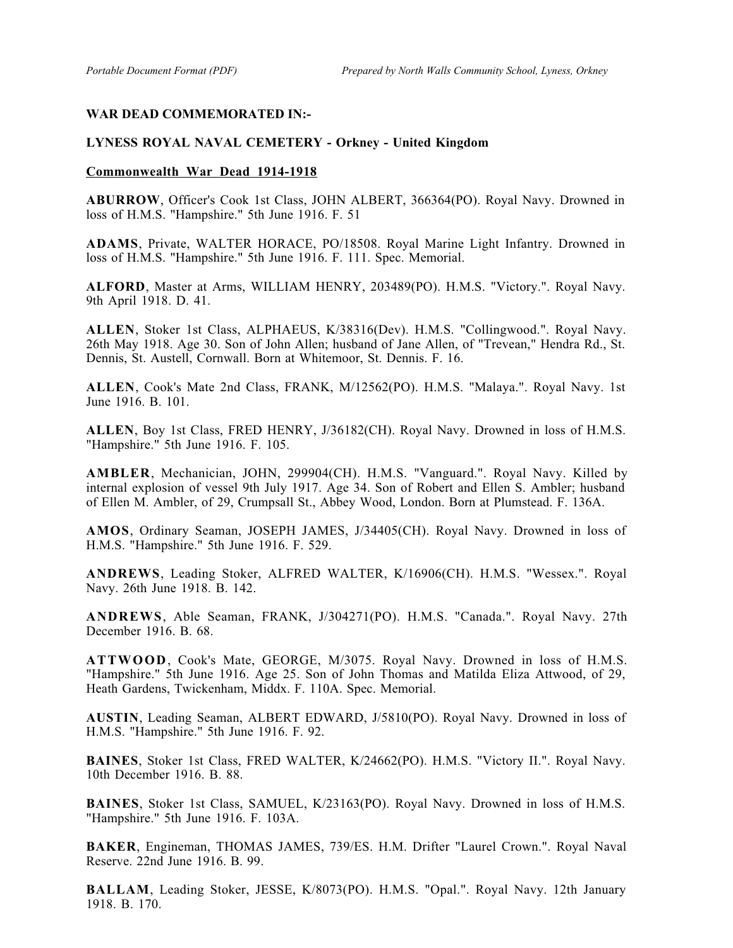## **WAR DEAD COMMEMORATED IN:-**

## **LYNESS ROYAL NAVAL CEMETERY - Orkney - United Kingdom**

## **Commonwealth War Dead 1914-1918**

**ABURROW**, Officer's Cook 1st Class, JOHN ALBERT, 366364(PO). Royal Navy. Drowned in loss of H.M.S. "Hampshire." 5th June 1916. F. 51

**ADAMS**, Private, WALTER HORACE, PO/18508. Royal Marine Light Infantry. Drowned in loss of H.M.S. "Hampshire." 5th June 1916. F. 111. Spec. Memorial.

**ALFORD**, Master at Arms, WILLIAM HENRY, 203489(PO). H.M.S. "Victory.". Royal Navy. 9th April 1918. D. 41.

**ALLEN**, Stoker 1st Class, ALPHAEUS, K/38316(Dev). H.M.S. "Collingwood.". Royal Navy. 26th May 1918. Age 30. Son of John Allen; husband of Jane Allen, of "Trevean," Hendra Rd., St. Dennis, St. Austell, Cornwall. Born at Whitemoor, St. Dennis. F. 16.

**ALLEN**, Cook's Mate 2nd Class, FRANK, M/12562(PO). H.M.S. "Malaya.". Royal Navy. 1st June 1916. B. 101.

**ALLEN**, Boy 1st Class, FRED HENRY, J/36182(CH). Royal Navy. Drowned in loss of H.M.S. "Hampshire." 5th June 1916. F. 105.

**AMBLER**, Mechanician, JOHN, 299904(CH). H.M.S. "Vanguard.". Royal Navy. Killed by internal explosion of vessel 9th July 1917. Age 34. Son of Robert and Ellen S. Ambler; husband of Ellen M. Ambler, of 29, Crumpsall St., Abbey Wood, London. Born at Plumstead. F. 136A.

**AMOS**, Ordinary Seaman, JOSEPH JAMES, J/34405(CH). Royal Navy. Drowned in loss of H.M.S. "Hampshire." 5th June 1916. F. 529.

**ANDREWS**, Leading Stoker, ALFRED WALTER, K/16906(CH). H.M.S. "Wessex.". Royal Navy. 26th June 1918. B. 142.

**ANDREWS**, Able Seaman, FRANK, J/304271(PO). H.M.S. "Canada.". Royal Navy. 27th December 1916. B. 68.

**ATTWOOD**, Cook's Mate, GEORGE, M/3075. Royal Navy. Drowned in loss of H.M.S. "Hampshire." 5th June 1916. Age 25. Son of John Thomas and Matilda Eliza Attwood, of 29, Heath Gardens, Twickenham, Middx. F. 110A. Spec. Memorial.

**AUSTIN**, Leading Seaman, ALBERT EDWARD, J/5810(PO). Royal Navy. Drowned in loss of H.M.S. "Hampshire." 5th June 1916. F. 92.

**BAINES**, Stoker 1st Class, FRED WALTER, K/24662(PO). H.M.S. "Victory II.". Royal Navy. 10th December 1916. B. 88.

**BAINES**, Stoker 1st Class, SAMUEL, K/23163(PO). Royal Navy. Drowned in loss of H.M.S. "Hampshire." 5th June 1916. F. 103A.

**BAKER**, Engineman, THOMAS JAMES, 739/ES. H.M. Drifter "Laurel Crown.". Royal Naval Reserve. 22nd June 1916. B. 99.

**BALLAM**, Leading Stoker, JESSE, K/8073(PO). H.M.S. "Opal.". Royal Navy. 12th January 1918. B. 170.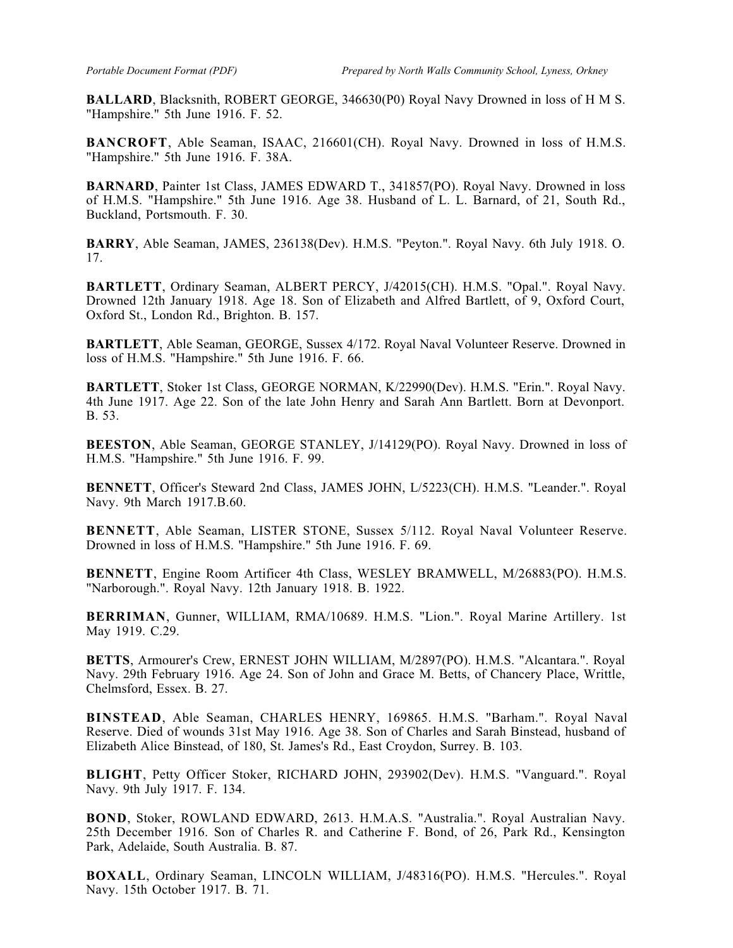**BALLARD**, Blacksnith, ROBERT GEORGE, 346630(P0) Royal Navy Drowned in loss of H M S. "Hampshire." 5th June 1916. F. 52.

**BANCROFT**, Able Seaman, ISAAC, 216601(CH). Royal Navy. Drowned in loss of H.M.S. "Hampshire." 5th June 1916. F. 38A.

**BARNARD**, Painter 1st Class, JAMES EDWARD T., 341857(PO). Royal Navy. Drowned in loss of H.M.S. "Hampshire." 5th June 1916. Age 38. Husband of L. L. Barnard, of 21, South Rd., Buckland, Portsmouth. F. 30.

**BARRY**, Able Seaman, JAMES, 236138(Dev). H.M.S. "Peyton.". Royal Navy. 6th July 1918. O. 17.

**BARTLETT**, Ordinary Seaman, ALBERT PERCY, J/42015(CH). H.M.S. "Opal.". Royal Navy. Drowned 12th January 1918. Age 18. Son of Elizabeth and Alfred Bartlett, of 9, Oxford Court, Oxford St., London Rd., Brighton. B. 157.

**BARTLETT**, Able Seaman, GEORGE, Sussex 4/172. Royal Naval Volunteer Reserve. Drowned in loss of H.M.S. "Hampshire." 5th June 1916. F. 66.

**BARTLETT**, Stoker 1st Class, GEORGE NORMAN, K/22990(Dev). H.M.S. "Erin.". Royal Navy. 4th June 1917. Age 22. Son of the late John Henry and Sarah Ann Bartlett. Born at Devonport. B. 53.

**BEESTON**, Able Seaman, GEORGE STANLEY, J/14129(PO). Royal Navy. Drowned in loss of H.M.S. "Hampshire." 5th June 1916. F. 99.

**BENNETT**, Officer's Steward 2nd Class, JAMES JOHN, L/5223(CH). H.M.S. "Leander.". Royal Navy. 9th March 1917.B.60.

**BENNETT**, Able Seaman, LISTER STONE, Sussex 5/112. Royal Naval Volunteer Reserve. Drowned in loss of H.M.S. "Hampshire." 5th June 1916. F. 69.

**BENNETT**, Engine Room Artificer 4th Class, WESLEY BRAMWELL, M/26883(PO). H.M.S. "Narborough.". Royal Navy. 12th January 1918. B. 1922.

**BERRIMAN**, Gunner, WILLIAM, RMA/10689. H.M.S. "Lion.". Royal Marine Artillery. 1st May 1919. C.29.

**BETTS**, Armourer's Crew, ERNEST JOHN WILLIAM, M/2897(PO). H.M.S. "Alcantara.". Royal Navy. 29th February 1916. Age 24. Son of John and Grace M. Betts, of Chancery Place, Writtle, Chelmsford, Essex. B. 27.

**BINSTEAD**, Able Seaman, CHARLES HENRY, 169865. H.M.S. "Barham.". Royal Naval Reserve. Died of wounds 31st May 1916. Age 38. Son of Charles and Sarah Binstead, husband of Elizabeth Alice Binstead, of 180, St. James's Rd., East Croydon, Surrey. B. 103.

**BLIGHT**, Petty Officer Stoker, RICHARD JOHN, 293902(Dev). H.M.S. "Vanguard.". Royal Navy. 9th July 1917. F. 134.

**BOND**, Stoker, ROWLAND EDWARD, 2613. H.M.A.S. "Australia.". Royal Australian Navy. 25th December 1916. Son of Charles R. and Catherine F. Bond, of 26, Park Rd., Kensington Park, Adelaide, South Australia. B. 87.

**BOXALL**, Ordinary Seaman, LINCOLN WILLIAM, J/48316(PO). H.M.S. "Hercules.". Royal Navy. 15th October 1917. B. 71.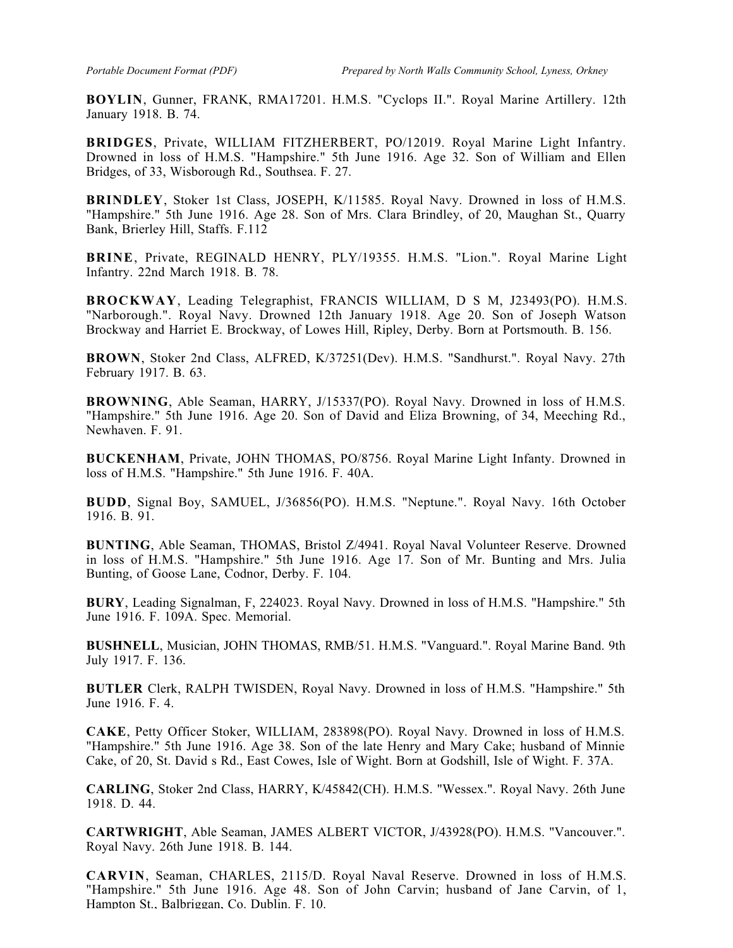**BOYLIN**, Gunner, FRANK, RMA17201. H.M.S. "Cyclops II.". Royal Marine Artillery. 12th January 1918. B. 74.

**BRIDGES**, Private, WILLIAM FITZHERBERT, PO/12019. Royal Marine Light Infantry. Drowned in loss of H.M.S. "Hampshire." 5th June 1916. Age 32. Son of William and Ellen Bridges, of 33, Wisborough Rd., Southsea. F. 27.

**BRINDLEY**, Stoker 1st Class, JOSEPH, K/11585. Royal Navy. Drowned in loss of H.M.S. "Hampshire." 5th June 1916. Age 28. Son of Mrs. Clara Brindley, of 20, Maughan St., Quarry Bank, Brierley Hill, Staffs. F.112

**BRINE**, Private, REGINALD HENRY, PLY/19355. H.M.S. "Lion.". Royal Marine Light Infantry. 22nd March 1918. B. 78.

**BROCKWAY**, Leading Telegraphist, FRANCIS WILLIAM, D S M, J23493(PO). H.M.S. "Narborough.". Royal Navy. Drowned 12th January 1918. Age 20. Son of Joseph Watson Brockway and Harriet E. Brockway, of Lowes Hill, Ripley, Derby. Born at Portsmouth. B. 156.

**BROWN**, Stoker 2nd Class, ALFRED, K/37251(Dev). H.M.S. "Sandhurst.". Royal Navy. 27th February 1917. B. 63.

**BROWNING**, Able Seaman, HARRY, J/15337(PO). Royal Navy. Drowned in loss of H.M.S. "Hampshire." 5th June 1916. Age 20. Son of David and Eliza Browning, of 34, Meeching Rd., Newhaven. F. 91.

**BUCKENHAM**, Private, JOHN THOMAS, PO/8756. Royal Marine Light Infanty. Drowned in loss of H.M.S. "Hampshire." 5th June 1916. F. 40A.

**BUDD**, Signal Boy, SAMUEL, J/36856(PO). H.M.S. "Neptune.". Royal Navy. 16th October 1916. B. 91.

**BUNTING**, Able Seaman, THOMAS, Bristol Z/4941. Royal Naval Volunteer Reserve. Drowned in loss of H.M.S. "Hampshire." 5th June 1916. Age 17. Son of Mr. Bunting and Mrs. Julia Bunting, of Goose Lane, Codnor, Derby. F. 104.

**BURY**, Leading Signalman, F, 224023. Royal Navy. Drowned in loss of H.M.S. "Hampshire." 5th June 1916. F. 109A. Spec. Memorial.

**BUSHNELL**, Musician, JOHN THOMAS, RMB/51. H.M.S. "Vanguard.". Royal Marine Band. 9th July 1917. F. 136.

**BUTLER** Clerk, RALPH TWISDEN, Royal Navy. Drowned in loss of H.M.S. "Hampshire." 5th June 1916. F. 4.

**CAKE**, Petty Officer Stoker, WILLIAM, 283898(PO). Royal Navy. Drowned in loss of H.M.S. "Hampshire." 5th June 1916. Age 38. Son of the late Henry and Mary Cake; husband of Minnie Cake, of 20, St. David s Rd., East Cowes, Isle of Wight. Born at Godshill, Isle of Wight. F. 37A.

**CARLING**, Stoker 2nd Class, HARRY, K/45842(CH). H.M.S. "Wessex.". Royal Navy. 26th June 1918. D. 44.

**CARTWRIGHT**, Able Seaman, JAMES ALBERT VICTOR, J/43928(PO). H.M.S. "Vancouver.". Royal Navy. 26th June 1918. B. 144.

**CARVIN**, Seaman, CHARLES, 2115/D. Royal Naval Reserve. Drowned in loss of H.M.S. "Hampshire." 5th June 1916. Age 48. Son of John Carvin; husband of Jane Carvin, of 1, Hampton St., Balbriggan, Co. Dublin. F. 10.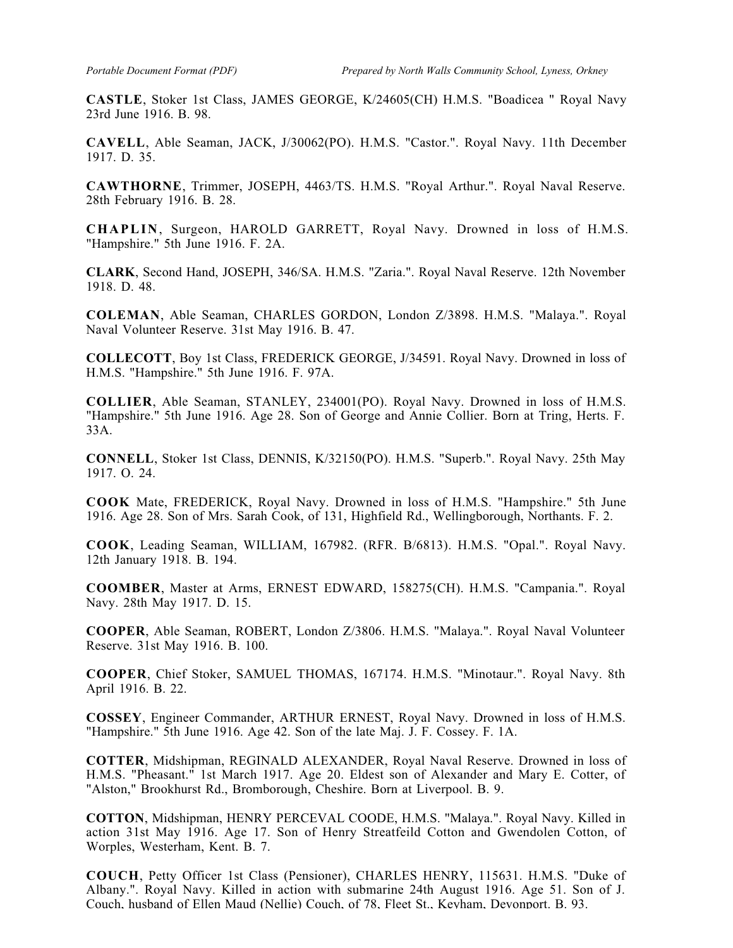**CASTLE**, Stoker 1st Class, JAMES GEORGE, K/24605(CH) H.M.S. "Boadicea " Royal Navy 23rd June 1916. B. 98.

**CAVELL**, Able Seaman, JACK, J/30062(PO). H.M.S. "Castor.". Royal Navy. 11th December 1917. D. 35.

**CAWTHORNE**, Trimmer, JOSEPH, 4463/TS. H.M.S. "Royal Arthur.". Royal Naval Reserve. 28th February 1916. B. 28.

**CHAPLIN**, Surgeon, HAROLD GARRETT, Royal Navy. Drowned in loss of H.M.S. "Hampshire." 5th June 1916. F. 2A.

**CLARK**, Second Hand, JOSEPH, 346/SA. H.M.S. "Zaria.". Royal Naval Reserve. 12th November 1918. D. 48.

**COLEMAN**, Able Seaman, CHARLES GORDON, London Z/3898. H.M.S. "Malaya.". Royal Naval Volunteer Reserve. 31st May 1916. B. 47.

**COLLECOTT**, Boy 1st Class, FREDERICK GEORGE, J/34591. Royal Navy. Drowned in loss of H.M.S. "Hampshire." 5th June 1916. F. 97A.

**COLLIER**, Able Seaman, STANLEY, 234001(PO). Royal Navy. Drowned in loss of H.M.S. "Hampshire." 5th June 1916. Age 28. Son of George and Annie Collier. Born at Tring, Herts. F. 33A.

**CONNELL**, Stoker 1st Class, DENNIS, K/32150(PO). H.M.S. "Superb.". Royal Navy. 25th May 1917. O. 24.

**COOK** Mate, FREDERICK, Royal Navy. Drowned in loss of H.M.S. "Hampshire." 5th June 1916. Age 28. Son of Mrs. Sarah Cook, of 131, Highfield Rd., Wellingborough, Northants. F. 2.

**COOK**, Leading Seaman, WILLIAM, 167982. (RFR. B/6813). H.M.S. "Opal.". Royal Navy. 12th January 1918. B. 194.

**COOMBER**, Master at Arms, ERNEST EDWARD, 158275(CH). H.M.S. "Campania.". Royal Navy. 28th May 1917. D. 15.

**COOPER**, Able Seaman, ROBERT, London Z/3806. H.M.S. "Malaya.". Royal Naval Volunteer Reserve. 31st May 1916. B. 100.

**COOPER**, Chief Stoker, SAMUEL THOMAS, 167174. H.M.S. "Minotaur.". Royal Navy. 8th April 1916. B. 22.

**COSSEY**, Engineer Commander, ARTHUR ERNEST, Royal Navy. Drowned in loss of H.M.S. "Hampshire." 5th June 1916. Age 42. Son of the late Maj. J. F. Cossey. F. 1A.

**COTTER**, Midshipman, REGINALD ALEXANDER, Royal Naval Reserve. Drowned in loss of H.M.S. "Pheasant." 1st March 1917. Age 20. Eldest son of Alexander and Mary E. Cotter, of "Alston," Brookhurst Rd., Bromborough, Cheshire. Born at Liverpool. B. 9.

**COTTON**, Midshipman, HENRY PERCEVAL COODE, H.M.S. "Malaya.". Royal Navy. Killed in action 31st May 1916. Age 17. Son of Henry Streatfeild Cotton and Gwendolen Cotton, of Worples, Westerham, Kent. B. 7.

**COUCH**, Petty Officer 1st Class (Pensioner), CHARLES HENRY, 115631. H.M.S. "Duke of Albany.". Royal Navy. Killed in action with submarine 24th August 1916. Age 51. Son of J. Couch, husband of Ellen Maud (Nellie) Couch, of 78, Fleet St., Keyham, Devonport. B. 93.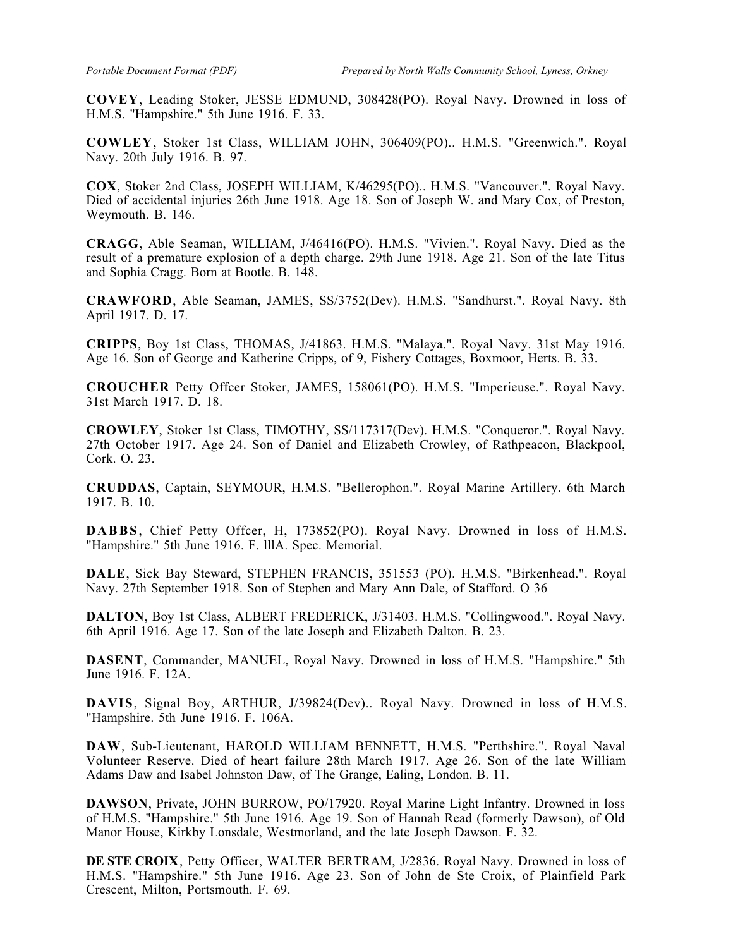**COVEY**, Leading Stoker, JESSE EDMUND, 308428(PO). Royal Navy. Drowned in loss of H.M.S. "Hampshire." 5th June 1916. F. 33.

**COWLEY**, Stoker 1st Class, WILLIAM JOHN, 306409(PO).. H.M.S. "Greenwich.". Royal Navy. 20th July 1916. B. 97.

**COX**, Stoker 2nd Class, JOSEPH WILLIAM, K/46295(PO).. H.M.S. "Vancouver.". Royal Navy. Died of accidental injuries 26th June 1918. Age 18. Son of Joseph W. and Mary Cox, of Preston, Weymouth. B. 146.

**CRAGG**, Able Seaman, WILLIAM, J/46416(PO). H.M.S. "Vivien.". Royal Navy. Died as the result of a premature explosion of a depth charge. 29th June 1918. Age 21. Son of the late Titus and Sophia Cragg. Born at Bootle. B. 148.

**CRAWFORD**, Able Seaman, JAMES, SS/3752(Dev). H.M.S. "Sandhurst.". Royal Navy. 8th April 1917. D. 17.

**CRIPPS**, Boy 1st Class, THOMAS, J/41863. H.M.S. "Malaya.". Royal Navy. 31st May 1916. Age 16. Son of George and Katherine Cripps, of 9, Fishery Cottages, Boxmoor, Herts. B. 33.

**CROUCHER** Petty Offcer Stoker, JAMES, 158061(PO). H.M.S. "Imperieuse.". Royal Navy. 31st March 1917. D. 18.

**CROWLEY**, Stoker 1st Class, TIMOTHY, SS/117317(Dev). H.M.S. "Conqueror.". Royal Navy. 27th October 1917. Age 24. Son of Daniel and Elizabeth Crowley, of Rathpeacon, Blackpool, Cork. O. 23.

**CRUDDAS**, Captain, SEYMOUR, H.M.S. "Bellerophon.". Royal Marine Artillery. 6th March 1917. B. 10.

**DABBS**, Chief Petty Offcer, H, 173852(PO). Royal Navy. Drowned in loss of H.M.S. "Hampshire." 5th June 1916. F. lllA. Spec. Memorial.

**DALE**, Sick Bay Steward, STEPHEN FRANCIS, 351553 (PO). H.M.S. "Birkenhead.". Royal Navy. 27th September 1918. Son of Stephen and Mary Ann Dale, of Stafford. O 36

**DALTON**, Boy 1st Class, ALBERT FREDERICK, J/31403. H.M.S. "Collingwood.". Royal Navy. 6th April 1916. Age 17. Son of the late Joseph and Elizabeth Dalton. B. 23.

**DASENT**, Commander, MANUEL, Royal Navy. Drowned in loss of H.M.S. "Hampshire." 5th June 1916. F. 12A.

**DAVIS**, Signal Boy, ARTHUR, J/39824(Dev).. Royal Navy. Drowned in loss of H.M.S. "Hampshire. 5th June 1916. F. 106A.

**DAW**, Sub-Lieutenant, HAROLD WILLIAM BENNETT, H.M.S. "Perthshire.". Royal Naval Volunteer Reserve. Died of heart failure 28th March 1917. Age 26. Son of the late William Adams Daw and Isabel Johnston Daw, of The Grange, Ealing, London. B. 11.

**DAWSON**, Private, JOHN BURROW, PO/17920. Royal Marine Light Infantry. Drowned in loss of H.M.S. "Hampshire." 5th June 1916. Age 19. Son of Hannah Read (formerly Dawson), of Old Manor House, Kirkby Lonsdale, Westmorland, and the late Joseph Dawson. F. 32.

**DE STE CROIX**, Petty Officer, WALTER BERTRAM, J/2836. Royal Navy. Drowned in loss of H.M.S. "Hampshire." 5th June 1916. Age 23. Son of John de Ste Croix, of Plainfield Park Crescent, Milton, Portsmouth. F. 69.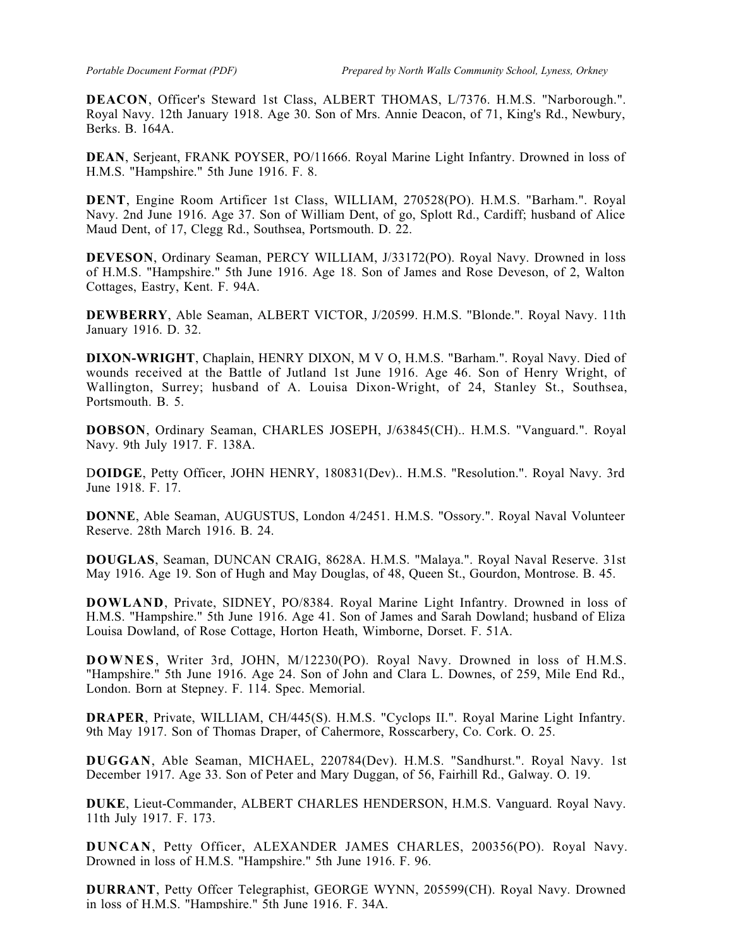**DEACON**, Officer's Steward 1st Class, ALBERT THOMAS, L/7376. H.M.S. "Narborough.". Royal Navy. 12th January 1918. Age 30. Son of Mrs. Annie Deacon, of 71, King's Rd., Newbury, Berks. B. 164A.

**DEAN**, Serjeant, FRANK POYSER, PO/11666. Royal Marine Light Infantry. Drowned in loss of H.M.S. "Hampshire." 5th June 1916. F. 8.

**DENT**, Engine Room Artificer 1st Class, WILLIAM, 270528(PO). H.M.S. "Barham.". Royal Navy. 2nd June 1916. Age 37. Son of William Dent, of go, Splott Rd., Cardiff; husband of Alice Maud Dent, of 17, Clegg Rd., Southsea, Portsmouth. D. 22.

**DEVESON**, Ordinary Seaman, PERCY WILLIAM, J/33172(PO). Royal Navy. Drowned in loss of H.M.S. "Hampshire." 5th June 1916. Age 18. Son of James and Rose Deveson, of 2, Walton Cottages, Eastry, Kent. F. 94A.

**DEWBERRY**, Able Seaman, ALBERT VICTOR, J/20599. H.M.S. "Blonde.". Royal Navy. 11th January 1916. D. 32.

**DIXON-WRIGHT**, Chaplain, HENRY DIXON, M V O, H.M.S. "Barham.". Royal Navy. Died of wounds received at the Battle of Jutland 1st June 1916. Age 46. Son of Henry Wright, of Wallington, Surrey; husband of A. Louisa Dixon-Wright, of 24, Stanley St., Southsea, Portsmouth. B. 5.

**DOBSON**, Ordinary Seaman, CHARLES JOSEPH, J/63845(CH).. H.M.S. "Vanguard.". Royal Navy. 9th July 1917. F. 138A.

D**OIDGE**, Petty Officer, JOHN HENRY, 180831(Dev).. H.M.S. "Resolution.". Royal Navy. 3rd June 1918. F. 17.

**DONNE**, Able Seaman, AUGUSTUS, London 4/2451. H.M.S. "Ossory.". Royal Naval Volunteer Reserve. 28th March 1916. B. 24.

**DOUGLAS**, Seaman, DUNCAN CRAIG, 8628A. H.M.S. "Malaya.". Royal Naval Reserve. 31st May 1916. Age 19. Son of Hugh and May Douglas, of 48, Queen St., Gourdon, Montrose. B. 45.

**DOWLAND**, Private, SIDNEY, PO/8384. Royal Marine Light Infantry. Drowned in loss of H.M.S. "Hampshire." 5th June 1916. Age 41. Son of James and Sarah Dowland; husband of Eliza Louisa Dowland, of Rose Cottage, Horton Heath, Wimborne, Dorset. F. 51A.

**DOWNES**, Writer 3rd, JOHN, M/12230(PO). Royal Navy. Drowned in loss of H.M.S. "Hampshire." 5th June 1916. Age 24. Son of John and Clara L. Downes, of 259, Mile End Rd., London. Born at Stepney. F. 114. Spec. Memorial.

**DRAPER**, Private, WILLIAM, CH/445(S). H.M.S. "Cyclops II.". Royal Marine Light Infantry. 9th May 1917. Son of Thomas Draper, of Cahermore, Rosscarbery, Co. Cork. O. 25.

**DUGGAN**, Able Seaman, MICHAEL, 220784(Dev). H.M.S. "Sandhurst.". Royal Navy. 1st December 1917. Age 33. Son of Peter and Mary Duggan, of 56, Fairhill Rd., Galway. O. 19.

**DUKE**, Lieut-Commander, ALBERT CHARLES HENDERSON, H.M.S. Vanguard. Royal Navy. 11th July 1917. F. 173.

**DUNCAN**, Petty Officer, ALEXANDER JAMES CHARLES, 200356(PO). Royal Navy. Drowned in loss of H.M.S. "Hampshire." 5th June 1916. F. 96.

**DURRANT**, Petty Offcer Telegraphist, GEORGE WYNN, 205599(CH). Royal Navy. Drowned in loss of H.M.S. "Hampshire." 5th June 1916. F. 34A.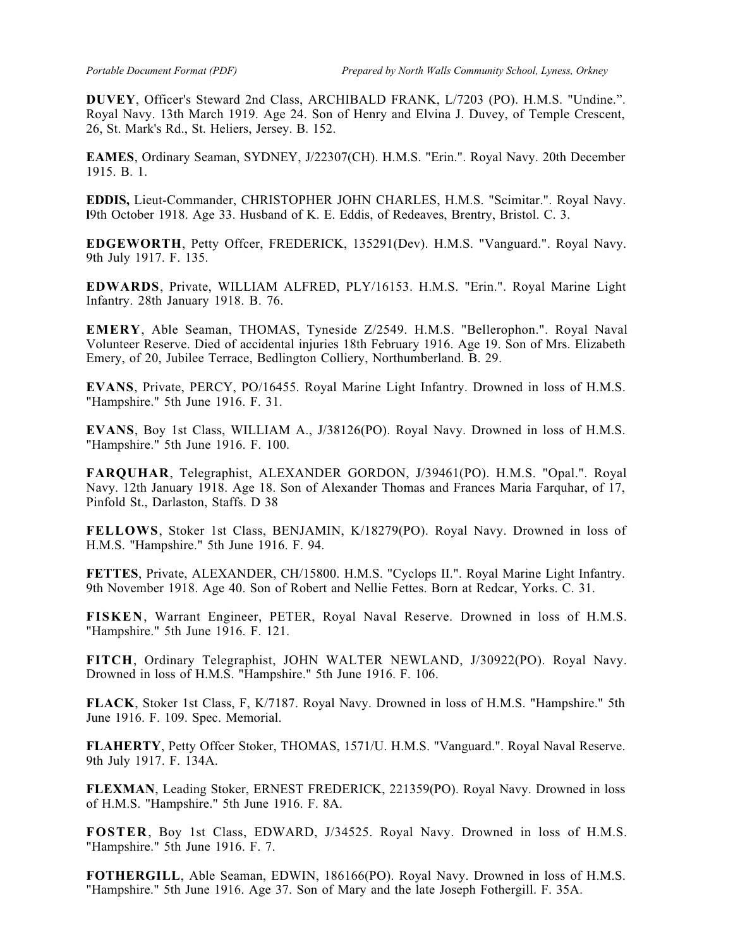**DUVEY**, Officer's Steward 2nd Class, ARCHIBALD FRANK, L/7203 (PO). H.M.S. "Undine.". Royal Navy. 13th March 1919. Age 24. Son of Henry and Elvina J. Duvey, of Temple Crescent, 26, St. Mark's Rd., St. Heliers, Jersey. B. 152.

**EAMES**, Ordinary Seaman, SYDNEY, J/22307(CH). H.M.S. "Erin.". Royal Navy. 20th December 1915. B. 1.

**EDDIS,** Lieut-Commander, CHRISTOPHER JOHN CHARLES, H.M.S. "Scimitar.". Royal Navy. **l**9th October 1918. Age 33. Husband of K. E. Eddis, of Redeaves, Brentry, Bristol. C. 3.

**EDGEWORTH**, Petty Offcer, FREDERICK, 135291(Dev). H.M.S. "Vanguard.". Royal Navy. 9th July 1917. F. 135.

**EDWARDS**, Private, WILLIAM ALFRED, PLY/16153. H.M.S. "Erin.". Royal Marine Light Infantry. 28th January 1918. B. 76.

**EMERY**, Able Seaman, THOMAS, Tyneside Z/2549. H.M.S. "Bellerophon.". Royal Naval Volunteer Reserve. Died of accidental injuries 18th February 1916. Age 19. Son of Mrs. Elizabeth Emery, of 20, Jubilee Terrace, Bedlington Colliery, Northumberland. B. 29.

**EVANS**, Private, PERCY, PO/16455. Royal Marine Light Infantry. Drowned in loss of H.M.S. "Hampshire." 5th June 1916. F. 31.

**EVANS**, Boy 1st Class, WILLIAM A., J/38126(PO). Royal Navy. Drowned in loss of H.M.S. "Hampshire." 5th June 1916. F. 100.

**FARQUHAR**, Telegraphist, ALEXANDER GORDON, J/39461(PO). H.M.S. "Opal.". Royal Navy. 12th January 1918. Age 18. Son of Alexander Thomas and Frances Maria Farquhar, of 17, Pinfold St., Darlaston, Staffs. D 38

**FELLOWS**, Stoker 1st Class, BENJAMIN, K/18279(PO). Royal Navy. Drowned in loss of H.M.S. "Hampshire." 5th June 1916. F. 94.

**FETTES**, Private, ALEXANDER, CH/15800. H.M.S. "Cyclops II.". Royal Marine Light Infantry. 9th November 1918. Age 40. Son of Robert and Nellie Fettes. Born at Redcar, Yorks. C. 31.

**FISKEN**, Warrant Engineer, PETER, Royal Naval Reserve. Drowned in loss of H.M.S. "Hampshire." 5th June 1916. F. 121.

**FITCH**, Ordinary Telegraphist, JOHN WALTER NEWLAND, J/30922(PO). Royal Navy. Drowned in loss of H.M.S. "Hampshire." 5th June 1916. F. 106.

**FLACK**, Stoker 1st Class, F, K/7187. Royal Navy. Drowned in loss of H.M.S. "Hampshire." 5th June 1916. F. 109. Spec. Memorial.

**FLAHERTY**, Petty Offcer Stoker, THOMAS, 1571/U. H.M.S. "Vanguard.". Royal Naval Reserve. 9th July 1917. F. 134A.

**FLEXMAN**, Leading Stoker, ERNEST FREDERICK, 221359(PO). Royal Navy. Drowned in loss of H.M.S. "Hampshire." 5th June 1916. F. 8A.

**FOSTER**, Boy 1st Class, EDWARD, J/34525. Royal Navy. Drowned in loss of H.M.S. "Hampshire." 5th June 1916. F. 7.

**FOTHERGILL**, Able Seaman, EDWIN, 186166(PO). Royal Navy. Drowned in loss of H.M.S. "Hampshire." 5th June 1916. Age 37. Son of Mary and the late Joseph Fothergill. F. 35A.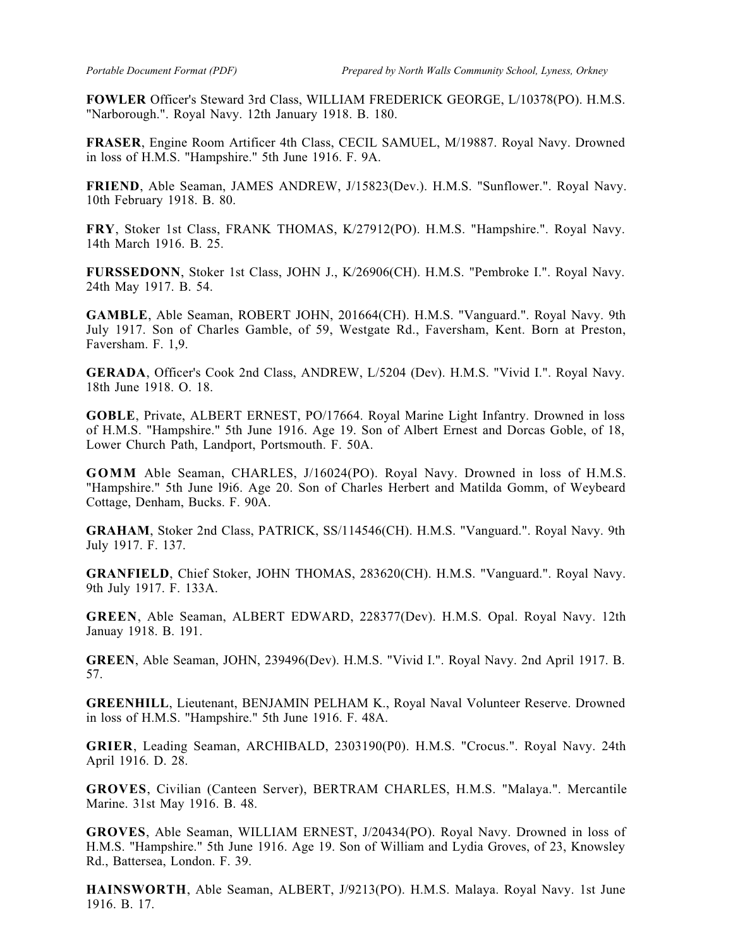**FOWLER** Officer's Steward 3rd Class, WILLIAM FREDERICK GEORGE, L/10378(PO). H.M.S. "Narborough.". Royal Navy. 12th January 1918. B. 180.

**FRASER**, Engine Room Artificer 4th Class, CECIL SAMUEL, M/19887. Royal Navy. Drowned in loss of H.M.S. "Hampshire." 5th June 1916. F. 9A.

**FRIEND**, Able Seaman, JAMES ANDREW, J/15823(Dev.). H.M.S. "Sunflower.". Royal Navy. 10th February 1918. B. 80.

**FRY**, Stoker 1st Class, FRANK THOMAS, K/27912(PO). H.M.S. "Hampshire.". Royal Navy. 14th March 1916. B. 25.

**FURSSEDONN**, Stoker 1st Class, JOHN J., K/26906(CH). H.M.S. "Pembroke I.". Royal Navy. 24th May 1917. B. 54.

**GAMBLE**, Able Seaman, ROBERT JOHN, 201664(CH). H.M.S. "Vanguard.". Royal Navy. 9th July 1917. Son of Charles Gamble, of 59, Westgate Rd., Faversham, Kent. Born at Preston, Faversham. F. 1,9.

**GERADA**, Officer's Cook 2nd Class, ANDREW, L/5204 (Dev). H.M.S. "Vivid I.". Royal Navy. 18th June 1918. O. 18.

**GOBLE**, Private, ALBERT ERNEST, PO/17664. Royal Marine Light Infantry. Drowned in loss of H.M.S. "Hampshire." 5th June 1916. Age 19. Son of Albert Ernest and Dorcas Goble, of 18, Lower Church Path, Landport, Portsmouth. F. 50A.

**GOMM** Able Seaman, CHARLES, J/16024(PO). Royal Navy. Drowned in loss of H.M.S. "Hampshire." 5th June l9i6. Age 20. Son of Charles Herbert and Matilda Gomm, of Weybeard Cottage, Denham, Bucks. F. 90A.

**GRAHAM**, Stoker 2nd Class, PATRICK, SS/114546(CH). H.M.S. "Vanguard.". Royal Navy. 9th July 1917. F. 137.

**GRANFIELD**, Chief Stoker, JOHN THOMAS, 283620(CH). H.M.S. "Vanguard.". Royal Navy. 9th July 1917. F. 133A.

**GREEN**, Able Seaman, ALBERT EDWARD, 228377(Dev). H.M.S. Opal. Royal Navy. 12th Januay 1918. B. 191.

**GREEN**, Able Seaman, JOHN, 239496(Dev). H.M.S. "Vivid I.". Royal Navy. 2nd April 1917. B. 57.

**GREENHILL**, Lieutenant, BENJAMIN PELHAM K., Royal Naval Volunteer Reserve. Drowned in loss of H.M.S. "Hampshire." 5th June 1916. F. 48A.

**GRIER**, Leading Seaman, ARCHIBALD, 2303190(P0). H.M.S. "Crocus.". Royal Navy. 24th April 1916. D. 28.

**GROVES**, Civilian (Canteen Server), BERTRAM CHARLES, H.M.S. "Malaya.". Mercantile Marine. 31st May 1916. B. 48.

**GROVES**, Able Seaman, WILLIAM ERNEST, J/20434(PO). Royal Navy. Drowned in loss of H.M.S. "Hampshire." 5th June 1916. Age 19. Son of William and Lydia Groves, of 23, Knowsley Rd., Battersea, London. F. 39.

**HAINSWORTH**, Able Seaman, ALBERT, J/9213(PO). H.M.S. Malaya. Royal Navy. 1st June 1916. B. 17.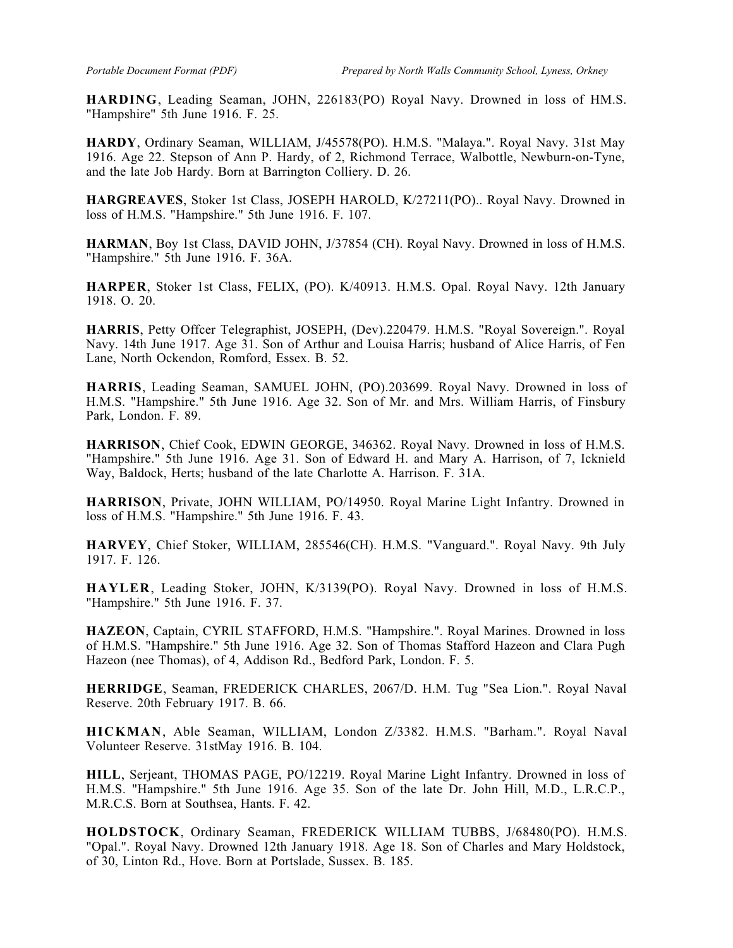**HARDING**, Leading Seaman, JOHN, 226183(PO) Royal Navy. Drowned in loss of HM.S. "Hampshire" 5th June 1916. F. 25.

**HARDY**, Ordinary Seaman, WILLIAM, J/45578(PO). H.M.S. "Malaya.". Royal Navy. 31st May 1916. Age 22. Stepson of Ann P. Hardy, of 2, Richmond Terrace, Walbottle, Newburn-on-Tyne, and the late Job Hardy. Born at Barrington Colliery. D. 26.

**HARGREAVES**, Stoker 1st Class, JOSEPH HAROLD, K/27211(PO).. Royal Navy. Drowned in loss of H.M.S. "Hampshire." 5th June 1916. F. 107.

**HARMAN**, Boy 1st Class, DAVID JOHN, J/37854 (CH). Royal Navy. Drowned in loss of H.M.S. "Hampshire." 5th June 1916. F. 36A.

**HARPER**, Stoker 1st Class, FELIX, (PO). K/40913. H.M.S. Opal. Royal Navy. 12th January 1918. O. 20.

**HARRIS**, Petty Offcer Telegraphist, JOSEPH, (Dev).220479. H.M.S. "Royal Sovereign.". Royal Navy. 14th June 1917. Age 31. Son of Arthur and Louisa Harris; husband of Alice Harris, of Fen Lane, North Ockendon, Romford, Essex. B. 52.

**HARRIS**, Leading Seaman, SAMUEL JOHN, (PO).203699. Royal Navy. Drowned in loss of H.M.S. "Hampshire." 5th June 1916. Age 32. Son of Mr. and Mrs. William Harris, of Finsbury Park, London. F. 89.

**HARRISON**, Chief Cook, EDWIN GEORGE, 346362. Royal Navy. Drowned in loss of H.M.S. "Hampshire." 5th June 1916. Age 31. Son of Edward H. and Mary A. Harrison, of 7, Icknield Way, Baldock, Herts; husband of the late Charlotte A. Harrison. F. 31A.

**HARRISON**, Private, JOHN WILLIAM, PO/14950. Royal Marine Light Infantry. Drowned in loss of H.M.S. "Hampshire." 5th June 1916. F. 43.

**HARVEY**, Chief Stoker, WILLIAM, 285546(CH). H.M.S. "Vanguard.". Royal Navy. 9th July 1917. F. 126.

**HAYLER**, Leading Stoker, JOHN, K/3139(PO). Royal Navy. Drowned in loss of H.M.S. "Hampshire." 5th June 1916. F. 37.

**HAZEON**, Captain, CYRIL STAFFORD, H.M.S. "Hampshire.". Royal Marines. Drowned in loss of H.M.S. "Hampshire." 5th June 1916. Age 32. Son of Thomas Stafford Hazeon and Clara Pugh Hazeon (nee Thomas), of 4, Addison Rd., Bedford Park, London. F. 5.

**HERRIDGE**, Seaman, FREDERICK CHARLES, 2067/D. H.M. Tug "Sea Lion.". Royal Naval Reserve. 20th February 1917. B. 66.

**HICKMAN**, Able Seaman, WILLIAM, London Z/3382. H.M.S. "Barham.". Royal Naval Volunteer Reserve. 31stMay 1916. B. 104.

**HILL**, Serjeant, THOMAS PAGE, PO/12219. Royal Marine Light Infantry. Drowned in loss of H.M.S. "Hampshire." 5th June 1916. Age 35. Son of the late Dr. John Hill, M.D., L.R.C.P., M.R.C.S. Born at Southsea, Hants. F. 42.

**HOLDSTOCK**, Ordinary Seaman, FREDERICK WILLIAM TUBBS, J/68480(PO). H.M.S. "Opal.". Royal Navy. Drowned 12th January 1918. Age 18. Son of Charles and Mary Holdstock, of 30, Linton Rd., Hove. Born at Portslade, Sussex. B. 185.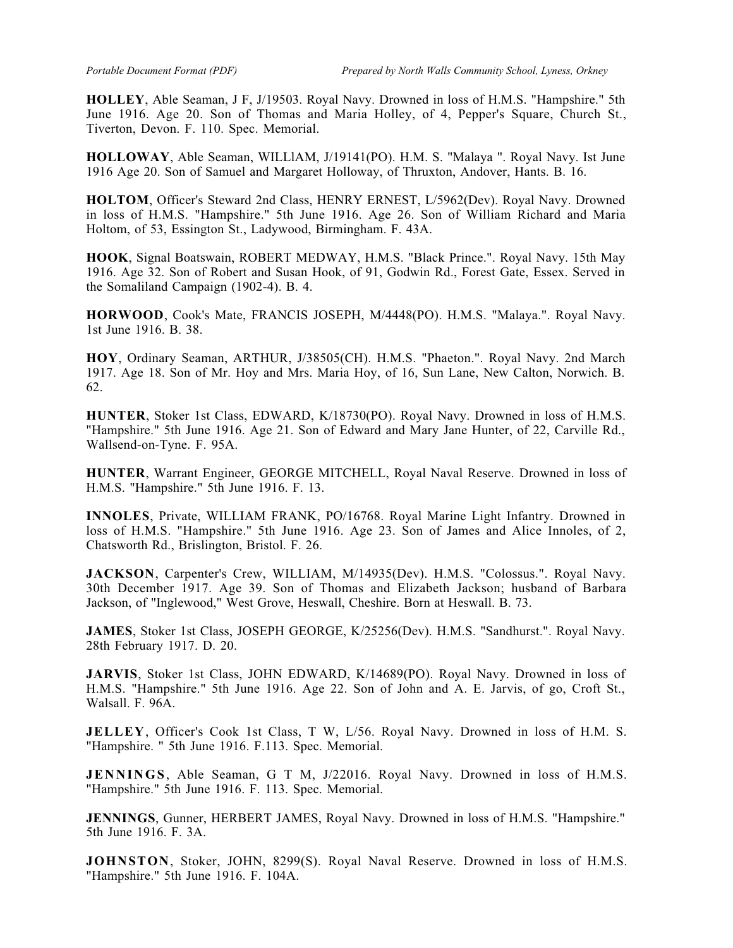**HOLLEY**, Able Seaman, J F, J/19503. Royal Navy. Drowned in loss of H.M.S. "Hampshire." 5th June 1916. Age 20. Son of Thomas and Maria Holley, of 4, Pepper's Square, Church St., Tiverton, Devon. F. 110. Spec. Memorial.

**HOLLOWAY**, Able Seaman, WILLlAM, J/19141(PO). H.M. S. "Malaya ". Royal Navy. Ist June 1916 Age 20. Son of Samuel and Margaret Holloway, of Thruxton, Andover, Hants. B. 16.

**HOLTOM**, Officer's Steward 2nd Class, HENRY ERNEST, L/5962(Dev). Royal Navy. Drowned in loss of H.M.S. "Hampshire." 5th June 1916. Age 26. Son of William Richard and Maria Holtom, of 53, Essington St., Ladywood, Birmingham. F. 43A.

**HOOK**, Signal Boatswain, ROBERT MEDWAY, H.M.S. "Black Prince.". Royal Navy. 15th May 1916. Age 32. Son of Robert and Susan Hook, of 91, Godwin Rd., Forest Gate, Essex. Served in the Somaliland Campaign (1902-4). B. 4.

**HORWOOD**, Cook's Mate, FRANCIS JOSEPH, M/4448(PO). H.M.S. "Malaya.". Royal Navy. 1st June 1916. B. 38.

**HOY**, Ordinary Seaman, ARTHUR, J/38505(CH). H.M.S. "Phaeton.". Royal Navy. 2nd March 1917. Age 18. Son of Mr. Hoy and Mrs. Maria Hoy, of 16, Sun Lane, New Calton, Norwich. B. 62.

**HUNTER**, Stoker 1st Class, EDWARD, K/18730(PO). Royal Navy. Drowned in loss of H.M.S. "Hampshire." 5th June 1916. Age 21. Son of Edward and Mary Jane Hunter, of 22, Carville Rd., Wallsend-on-Tyne. F. 95A.

**HUNTER**, Warrant Engineer, GEORGE MITCHELL, Royal Naval Reserve. Drowned in loss of H.M.S. "Hampshire." 5th June 1916. F. 13.

**INNOLES**, Private, WILLIAM FRANK, PO/16768. Royal Marine Light Infantry. Drowned in loss of H.M.S. "Hampshire." 5th June 1916. Age 23. Son of James and Alice Innoles, of 2, Chatsworth Rd., Brislington, Bristol. F. 26.

**JACKSON**, Carpenter's Crew, WILLIAM, M/14935(Dev). H.M.S. "Colossus.". Royal Navy. 30th December 1917. Age 39. Son of Thomas and Elizabeth Jackson; husband of Barbara Jackson, of "Inglewood," West Grove, Heswall, Cheshire. Born at Heswall. B. 73.

**JAMES**, Stoker 1st Class, JOSEPH GEORGE, K/25256(Dev). H.M.S. "Sandhurst.". Royal Navy. 28th February 1917. D. 20.

**JARVIS**, Stoker 1st Class, JOHN EDWARD, K/14689(PO). Royal Navy. Drowned in loss of H.M.S. "Hampshire." 5th June 1916. Age 22. Son of John and A. E. Jarvis, of go, Croft St., Walsall. F. 96A.

**JELLEY**, Officer's Cook 1st Class, T W, L/56. Royal Navy. Drowned in loss of H.M. S. "Hampshire. " 5th June 1916. F.113. Spec. Memorial.

**JENNINGS**, Able Seaman, G T M, J/22016. Royal Navy. Drowned in loss of H.M.S. "Hampshire." 5th June 1916. F. 113. Spec. Memorial.

**JENNINGS**, Gunner, HERBERT JAMES, Royal Navy. Drowned in loss of H.M.S. "Hampshire." 5th June 1916. F. 3A.

**JOHNSTON**, Stoker, JOHN, 8299(S). Royal Naval Reserve. Drowned in loss of H.M.S. "Hampshire." 5th June 1916. F. 104A.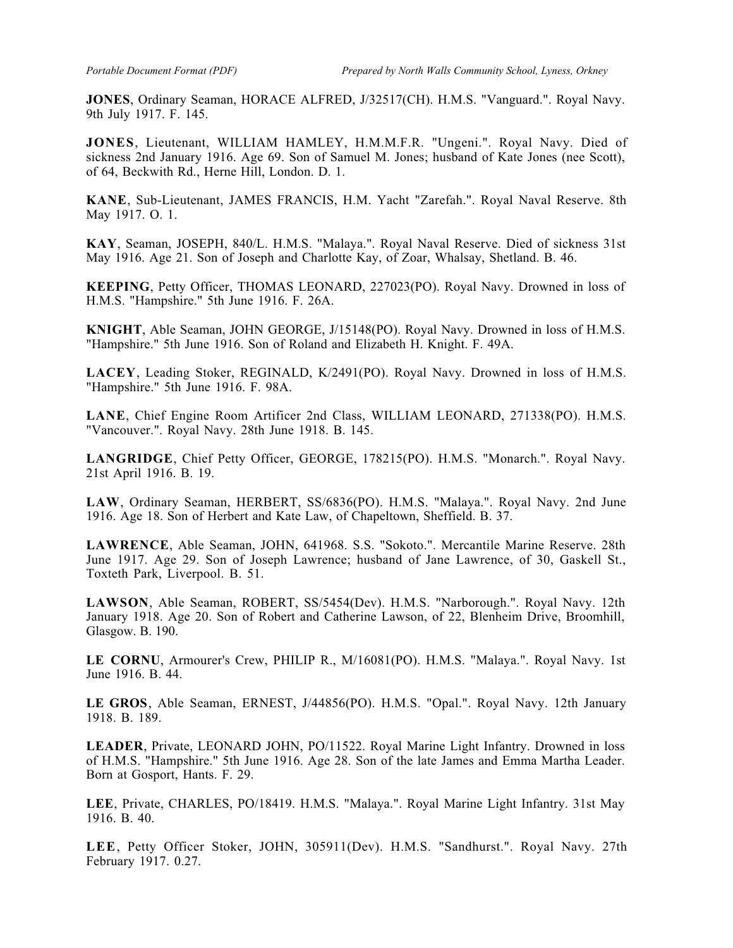**JONES**, Ordinary Seaman, HORACE ALFRED, J/32517(CH). H.M.S. "Vanguard.". Royal Navy. 9th July 1917. F. 145.

**JONES**, Lieutenant, WILLIAM HAMLEY, H.M.M.F.R. "Ungeni.". Royal Navy. Died of sickness 2nd January 1916. Age 69. Son of Samuel M. Jones; husband of Kate Jones (nee Scott), of 64, Beckwith Rd., Herne Hill, London. D. 1.

**KANE**, Sub-Lieutenant, JAMES FRANCIS, H.M. Yacht "Zarefah.". Royal Naval Reserve. 8th May 1917. O. 1.

**KAY**, Seaman, JOSEPH, 840/L. H.M.S. "Malaya.". Royal Naval Reserve. Died of sickness 31st May 1916. Age 21. Son of Joseph and Charlotte Kay, of Zoar, Whalsay, Shetland. B. 46.

**KEEPING**, Petty Officer, THOMAS LEONARD, 227023(PO). Royal Navy. Drowned in loss of H.M.S. "Hampshire." 5th June 1916. F. 26A.

**KNIGHT**, Able Seaman, JOHN GEORGE, J/15148(PO). Royal Navy. Drowned in loss of H.M.S. "Hampshire." 5th June 1916. Son of Roland and Elizabeth H. Knight. F. 49A.

**LACEY**, Leading Stoker, REGINALD, K/2491(PO). Royal Navy. Drowned in loss of H.M.S. "Hampshire." 5th June 1916. F. 98A.

**LANE**, Chief Engine Room Artificer 2nd Class, WILLIAM LEONARD, 271338(PO). H.M.S. "Vancouver.". Royal Navy. 28th June 1918. B. 145.

**LANGRIDGE**, Chief Petty Officer, GEORGE, 178215(PO). H.M.S. "Monarch.". Royal Navy. 21st April 1916. B. 19.

**LAW**, Ordinary Seaman, HERBERT, SS/6836(PO). H.M.S. "Malaya.". Royal Navy. 2nd June 1916. Age 18. Son of Herbert and Kate Law, of Chapeltown, Sheffield. B. 37.

**LAWRENCE**, Able Seaman, JOHN, 641968. S.S. "Sokoto.". Mercantile Marine Reserve. 28th June 1917. Age 29. Son of Joseph Lawrence; husband of Jane Lawrence, of 30, Gaskell St., Toxteth Park, Liverpool. B. 51.

**LAWSON**, Able Seaman, ROBERT, SS/5454(Dev). H.M.S. "Narborough.". Royal Navy. 12th January 1918. Age 20. Son of Robert and Catherine Lawson, of 22, Blenheim Drive, Broomhill, Glasgow. B. 190.

**LE CORNU**, Armourer's Crew, PHILIP R., M/16081(PO). H.M.S. "Malaya.". Royal Navy. 1st June 1916. B. 44.

**LE GROS**, Able Seaman, ERNEST, J/44856(PO). H.M.S. "Opal.". Royal Navy. 12th January 1918. B. 189.

**LEADER**, Private, LEONARD JOHN, PO/11522. Royal Marine Light Infantry. Drowned in loss of H.M.S. "Hampshire." 5th June 1916. Age 28. Son of the late James and Emma Martha Leader. Born at Gosport, Hants. F. 29.

**LEE**, Private, CHARLES, PO/18419. H.M.S. "Malaya.". Royal Marine Light Infantry. 31st May 1916. B. 40.

**LEE**, Petty Officer Stoker, JOHN, 305911(Dev). H.M.S. "Sandhurst.". Royal Navy. 27th February 1917. 0.27.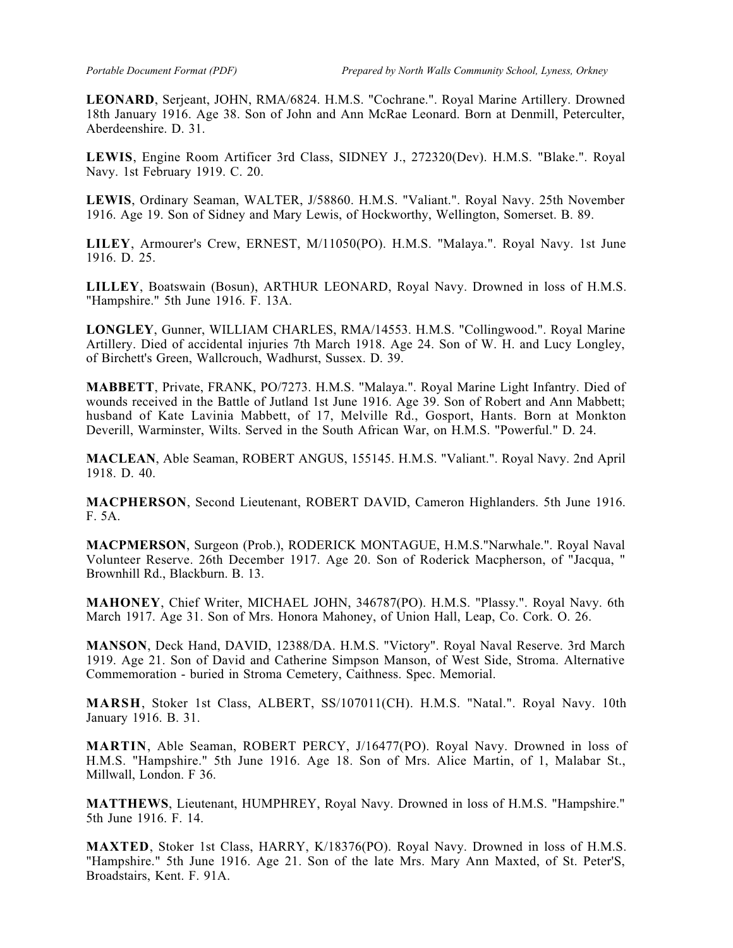**LEONARD**, Serjeant, JOHN, RMA/6824. H.M.S. "Cochrane.". Royal Marine Artillery. Drowned 18th January 1916. Age 38. Son of John and Ann McRae Leonard. Born at Denmill, Peterculter, Aberdeenshire. D. 31.

**LEWIS**, Engine Room Artificer 3rd Class, SIDNEY J., 272320(Dev). H.M.S. "Blake.". Royal Navy. 1st February 1919. C. 20.

**LEWIS**, Ordinary Seaman, WALTER, J/58860. H.M.S. "Valiant.". Royal Navy. 25th November 1916. Age 19. Son of Sidney and Mary Lewis, of Hockworthy, Wellington, Somerset. B. 89.

**LILEY**, Armourer's Crew, ERNEST, M/11050(PO). H.M.S. "Malaya.". Royal Navy. 1st June 1916. D. 25.

**LILLEY**, Boatswain (Bosun), ARTHUR LEONARD, Royal Navy. Drowned in loss of H.M.S. "Hampshire." 5th June 1916. F. 13A.

**LONGLEY**, Gunner, WILLIAM CHARLES, RMA/14553. H.M.S. "Collingwood.". Royal Marine Artillery. Died of accidental injuries 7th March 1918. Age 24. Son of W. H. and Lucy Longley, of Birchett's Green, Wallcrouch, Wadhurst, Sussex. D. 39.

**MABBETT**, Private, FRANK, PO/7273. H.M.S. "Malaya.". Royal Marine Light Infantry. Died of wounds received in the Battle of Jutland 1st June 1916. Age 39. Son of Robert and Ann Mabbett; husband of Kate Lavinia Mabbett, of 17, Melville Rd., Gosport, Hants. Born at Monkton Deverill, Warminster, Wilts. Served in the South African War, on H.M.S. "Powerful." D. 24.

**MACLEAN**, Able Seaman, ROBERT ANGUS, 155145. H.M.S. "Valiant.". Royal Navy. 2nd April 1918. D. 40.

**MACPHERSON**, Second Lieutenant, ROBERT DAVID, Cameron Highlanders. 5th June 1916. F. 5A.

**MACPMERSON**, Surgeon (Prob.), RODERICK MONTAGUE, H.M.S."Narwhale.". Royal Naval Volunteer Reserve. 26th December 1917. Age 20. Son of Roderick Macpherson, of "Jacqua, " Brownhill Rd., Blackburn. B. 13.

**MAHONEY**, Chief Writer, MICHAEL JOHN, 346787(PO). H.M.S. "Plassy.". Royal Navy. 6th March 1917. Age 31. Son of Mrs. Honora Mahoney, of Union Hall, Leap, Co. Cork. O. 26.

**MANSON**, Deck Hand, DAVID, 12388/DA. H.M.S. "Victory". Royal Naval Reserve. 3rd March 1919. Age 21. Son of David and Catherine Simpson Manson, of West Side, Stroma. Alternative Commemoration - buried in Stroma Cemetery, Caithness. Spec. Memorial.

**MARSH**, Stoker 1st Class, ALBERT, SS/107011(CH). H.M.S. "Natal.". Royal Navy. 10th January 1916. B. 31.

**MARTIN**, Able Seaman, ROBERT PERCY, J/16477(PO). Royal Navy. Drowned in loss of H.M.S. "Hampshire." 5th June 1916. Age 18. Son of Mrs. Alice Martin, of 1, Malabar St., Millwall, London. F 36.

**MATTHEWS**, Lieutenant, HUMPHREY, Royal Navy. Drowned in loss of H.M.S. "Hampshire." 5th June 1916. F. 14.

**MAXTED**, Stoker 1st Class, HARRY, K/18376(PO). Royal Navy. Drowned in loss of H.M.S. "Hampshire." 5th June 1916. Age 21. Son of the late Mrs. Mary Ann Maxted, of St. Peter'S, Broadstairs, Kent. F. 91A.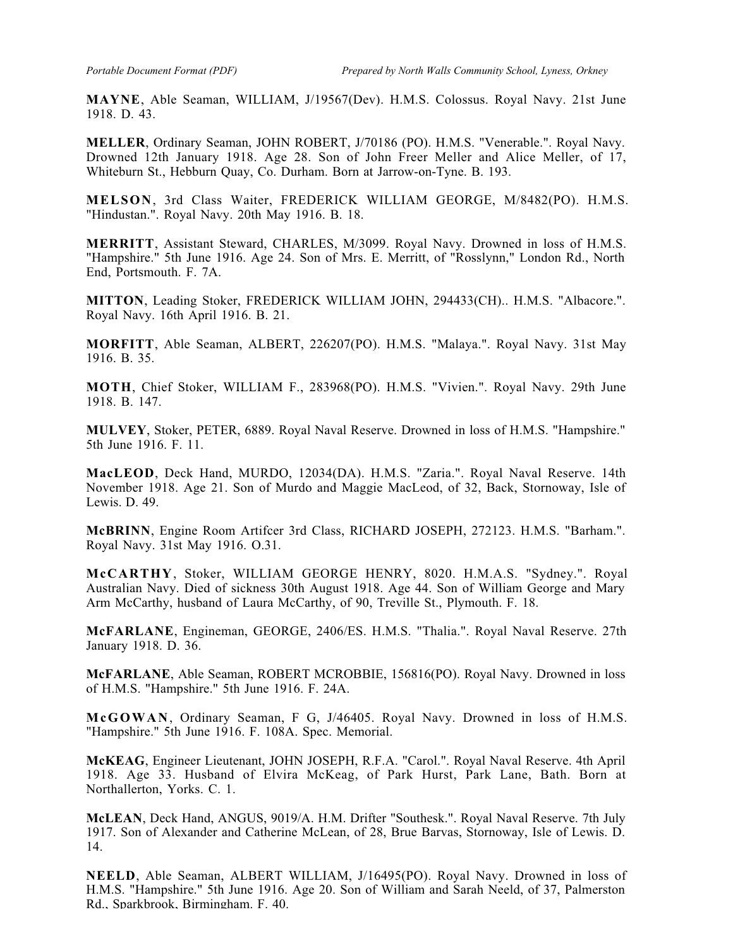**MAYNE**, Able Seaman, WILLIAM, J/19567(Dev). H.M.S. Colossus. Royal Navy. 21st June 1918. D. 43.

**MELLER**, Ordinary Seaman, JOHN ROBERT, J/70186 (PO). H.M.S. "Venerable.". Royal Navy. Drowned 12th January 1918. Age 28. Son of John Freer Meller and Alice Meller, of 17, Whiteburn St., Hebburn Quay, Co. Durham. Born at Jarrow-on-Tyne. B. 193.

**MELSON**, 3rd Class Waiter, FREDERICK WILLIAM GEORGE, M/8482(PO). H.M.S. "Hindustan.". Royal Navy. 20th May 1916. B. 18.

**MERRITT**, Assistant Steward, CHARLES, M/3099. Royal Navy. Drowned in loss of H.M.S. "Hampshire." 5th June 1916. Age 24. Son of Mrs. E. Merritt, of "Rosslynn," London Rd., North End, Portsmouth. F. 7A.

**MITTON**, Leading Stoker, FREDERICK WILLIAM JOHN, 294433(CH).. H.M.S. "Albacore.". Royal Navy. 16th April 1916. B. 21.

**MORFITT**, Able Seaman, ALBERT, 226207(PO). H.M.S. "Malaya.". Royal Navy. 31st May 1916. B. 35.

**MOTH**, Chief Stoker, WILLIAM F., 283968(PO). H.M.S. "Vivien.". Royal Navy. 29th June 1918. B. 147.

**MULVEY**, Stoker, PETER, 6889. Royal Naval Reserve. Drowned in loss of H.M.S. "Hampshire." 5th June 1916. F. 11.

**MacLEOD**, Deck Hand, MURDO, 12034(DA). H.M.S. "Zaria.". Royal Naval Reserve. 14th November 1918. Age 21. Son of Murdo and Maggie MacLeod, of 32, Back, Stornoway, Isle of Lewis. D. 49.

**McBRINN**, Engine Room Artifcer 3rd Class, RICHARD JOSEPH, 272123. H.M.S. "Barham.". Royal Navy. 31st May 1916. O.31.

**McCARTHY**, Stoker, WILLIAM GEORGE HENRY, 8020. H.M.A.S. "Sydney.". Royal Australian Navy. Died of sickness 30th August 1918. Age 44. Son of William George and Mary Arm McCarthy, husband of Laura McCarthy, of 90, Treville St., Plymouth. F. 18.

**McFARLANE**, Engineman, GEORGE, 2406/ES. H.M.S. "Thalia.". Royal Naval Reserve. 27th January 1918. D. 36.

**McFARLANE**, Able Seaman, ROBERT MCROBBIE, 156816(PO). Royal Navy. Drowned in loss of H.M.S. "Hampshire." 5th June 1916. F. 24A.

**McGOWAN**, Ordinary Seaman, F G, J/46405. Royal Navy. Drowned in loss of H.M.S. "Hampshire." 5th June 1916. F. 108A. Spec. Memorial.

**McKEAG**, Engineer Lieutenant, JOHN JOSEPH, R.F.A. "Carol.". Royal Naval Reserve. 4th April 1918. Age 33. Husband of Elvira McKeag, of Park Hurst, Park Lane, Bath. Born at Northallerton, Yorks. C. 1.

**McLEAN**, Deck Hand, ANGUS, 9019/A. H.M. Drifter "Southesk.". Royal Naval Reserve. 7th July 1917. Son of Alexander and Catherine McLean, of 28, Brue Barvas, Stornoway, Isle of Lewis. D. 14.

**NEELD**, Able Seaman, ALBERT WILLIAM, J/16495(PO). Royal Navy. Drowned in loss of H.M.S. "Hampshire." 5th June 1916. Age 20. Son of William and Sarah Neeld, of 37, Palmerston Rd., Sparkbrook, Birmingham. F. 40.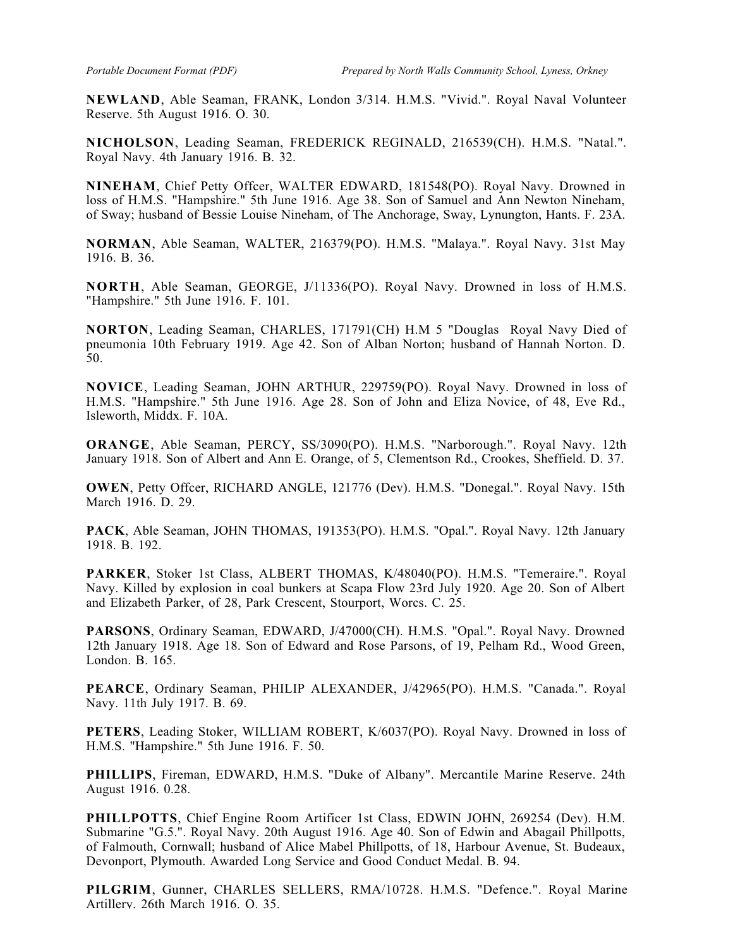**NEWLAND**, Able Seaman, FRANK, London 3/314. H.M.S. "Vivid.". Royal Naval Volunteer Reserve. 5th August 1916. O. 30.

**NICHOLSON**, Leading Seaman, FREDERICK REGINALD, 216539(CH). H.M.S. "Natal.". Royal Navy. 4th January 1916. B. 32.

**NINEHAM**, Chief Petty Offcer, WALTER EDWARD, 181548(PO). Royal Navy. Drowned in loss of H.M.S. "Hampshire." 5th June 1916. Age 38. Son of Samuel and Ann Newton Nineham, of Sway; husband of Bessie Louise Nineham, of The Anchorage, Sway, Lynungton, Hants. F. 23A.

**NORMAN**, Able Seaman, WALTER, 216379(PO). H.M.S. "Malaya.". Royal Navy. 31st May 1916. B. 36.

**NORTH**, Able Seaman, GEORGE, J/11336(PO). Royal Navy. Drowned in loss of H.M.S. "Hampshire." 5th June 1916. F. 101.

**NORTON**, Leading Seaman, CHARLES, 171791(CH) H.M 5 "Douglas Royal Navy Died of pneumonia 10th February 1919. Age 42. Son of Alban Norton; husband of Hannah Norton. D. 50.

**NOVICE**, Leading Seaman, JOHN ARTHUR, 229759(PO). Royal Navy. Drowned in loss of H.M.S. "Hampshire." 5th June 1916. Age 28. Son of John and Eliza Novice, of 48, Eve Rd., Isleworth, Middx. F. 10A.

**ORANGE**, Able Seaman, PERCY, SS/3090(PO). H.M.S. "Narborough.". Royal Navy. 12th January 1918. Son of Albert and Ann E. Orange, of 5, Clementson Rd., Crookes, Sheffield. D. 37.

**OWEN**, Petty Offcer, RICHARD ANGLE, 121776 (Dev). H.M.S. "Donegal.". Royal Navy. 15th March 1916. D. 29.

**PACK**, Able Seaman, JOHN THOMAS, 191353(PO). H.M.S. "Opal.". Royal Navy. 12th January 1918. B. 192.

**PARKER**, Stoker 1st Class, ALBERT THOMAS, K/48040(PO). H.M.S. "Temeraire.". Royal Navy. Killed by explosion in coal bunkers at Scapa Flow 23rd July 1920. Age 20. Son of Albert and Elizabeth Parker, of 28, Park Crescent, Stourport, Worcs. C. 25.

**PARSONS**, Ordinary Seaman, EDWARD, J/47000(CH). H.M.S. "Opal.". Royal Navy. Drowned 12th January 1918. Age 18. Son of Edward and Rose Parsons, of 19, Pelham Rd., Wood Green, London. B. 165.

**PEARCE**, Ordinary Seaman, PHILIP ALEXANDER, J/42965(PO). H.M.S. "Canada.". Royal Navy. 11th July 1917. B. 69.

**PETERS**, Leading Stoker, WILLIAM ROBERT, K/6037(PO). Royal Navy. Drowned in loss of H.M.S. "Hampshire." 5th June 1916. F. 50.

**PHILLIPS**, Fireman, EDWARD, H.M.S. "Duke of Albany". Mercantile Marine Reserve. 24th August 1916. 0.28.

**PHILLPOTTS**, Chief Engine Room Artificer 1st Class, EDWIN JOHN, 269254 (Dev). H.M. Submarine "G.5.". Royal Navy. 20th August 1916. Age 40. Son of Edwin and Abagail Phillpotts, of Falmouth, Cornwall; husband of Alice Mabel Phillpotts, of 18, Harbour Avenue, St. Budeaux, Devonport, Plymouth. Awarded Long Service and Good Conduct Medal. B. 94.

**PILGRIM**, Gunner, CHARLES SELLERS, RMA/10728. H.M.S. "Defence.". Royal Marine Artillery. 26th March 1916. O. 35.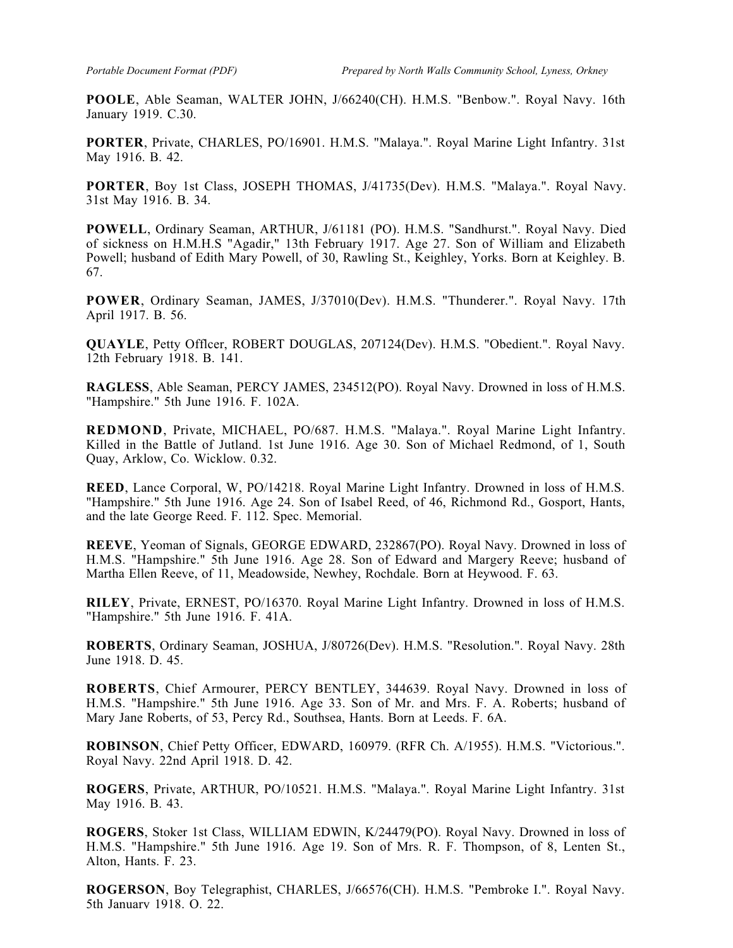**POOLE**, Able Seaman, WALTER JOHN, J/66240(CH). H.M.S. "Benbow.". Royal Navy. 16th January 1919. C.30.

**PORTER**, Private, CHARLES, PO/16901. H.M.S. "Malaya.". Royal Marine Light Infantry. 31st May 1916. B. 42.

**PORTER**, Boy 1st Class, JOSEPH THOMAS, J/41735(Dev). H.M.S. "Malaya.". Royal Navy. 31st May 1916. B. 34.

**POWELL**, Ordinary Seaman, ARTHUR, J/61181 (PO). H.M.S. "Sandhurst.". Royal Navy. Died of sickness on H.M.H.S "Agadir," 13th February 1917. Age 27. Son of William and Elizabeth Powell; husband of Edith Mary Powell, of 30, Rawling St., Keighley, Yorks. Born at Keighley. B. 67.

**POWER**, Ordinary Seaman, JAMES, J/37010(Dev). H.M.S. "Thunderer.". Royal Navy. 17th April 1917. B. 56.

**QUAYLE**, Petty Offlcer, ROBERT DOUGLAS, 207124(Dev). H.M.S. "Obedient.". Royal Navy. 12th February 1918. B. 141.

**RAGLESS**, Able Seaman, PERCY JAMES, 234512(PO). Royal Navy. Drowned in loss of H.M.S. "Hampshire." 5th June 1916. F. 102A.

**REDMOND**, Private, MICHAEL, PO/687. H.M.S. "Malaya.". Royal Marine Light Infantry. Killed in the Battle of Jutland. 1st June 1916. Age 30. Son of Michael Redmond, of 1, South Quay, Arklow, Co. Wicklow. 0.32.

**REED**, Lance Corporal, W, PO/14218. Royal Marine Light Infantry. Drowned in loss of H.M.S. "Hampshire." 5th June 1916. Age 24. Son of Isabel Reed, of 46, Richmond Rd., Gosport, Hants, and the late George Reed. F. 112. Spec. Memorial.

**REEVE**, Yeoman of Signals, GEORGE EDWARD, 232867(PO). Royal Navy. Drowned in loss of H.M.S. "Hampshire." 5th June 1916. Age 28. Son of Edward and Margery Reeve; husband of Martha Ellen Reeve, of 11, Meadowside, Newhey, Rochdale. Born at Heywood. F. 63.

**RILEY**, Private, ERNEST, PO/16370. Royal Marine Light Infantry. Drowned in loss of H.M.S. "Hampshire." 5th June 1916. F. 41A.

**ROBERTS**, Ordinary Seaman, JOSHUA, J/80726(Dev). H.M.S. "Resolution.". Royal Navy. 28th June 1918. D. 45.

**ROBERTS**, Chief Armourer, PERCY BENTLEY, 344639. Royal Navy. Drowned in loss of H.M.S. "Hampshire." 5th June 1916. Age 33. Son of Mr. and Mrs. F. A. Roberts; husband of Mary Jane Roberts, of 53, Percy Rd., Southsea, Hants. Born at Leeds. F. 6A.

**ROBINSON**, Chief Petty Officer, EDWARD, 160979. (RFR Ch. A/1955). H.M.S. "Victorious.". Royal Navy. 22nd April 1918. D. 42.

**ROGERS**, Private, ARTHUR, PO/10521. H.M.S. "Malaya.". Royal Marine Light Infantry. 31st May 1916. B. 43.

**ROGERS**, Stoker 1st Class, WILLIAM EDWIN, K/24479(PO). Royal Navy. Drowned in loss of H.M.S. "Hampshire." 5th June 1916. Age 19. Son of Mrs. R. F. Thompson, of 8, Lenten St., Alton, Hants. F. 23.

**ROGERSON**, Boy Telegraphist, CHARLES, J/66576(CH). H.M.S. "Pembroke I.". Royal Navy. 5th January 1918. O. 22.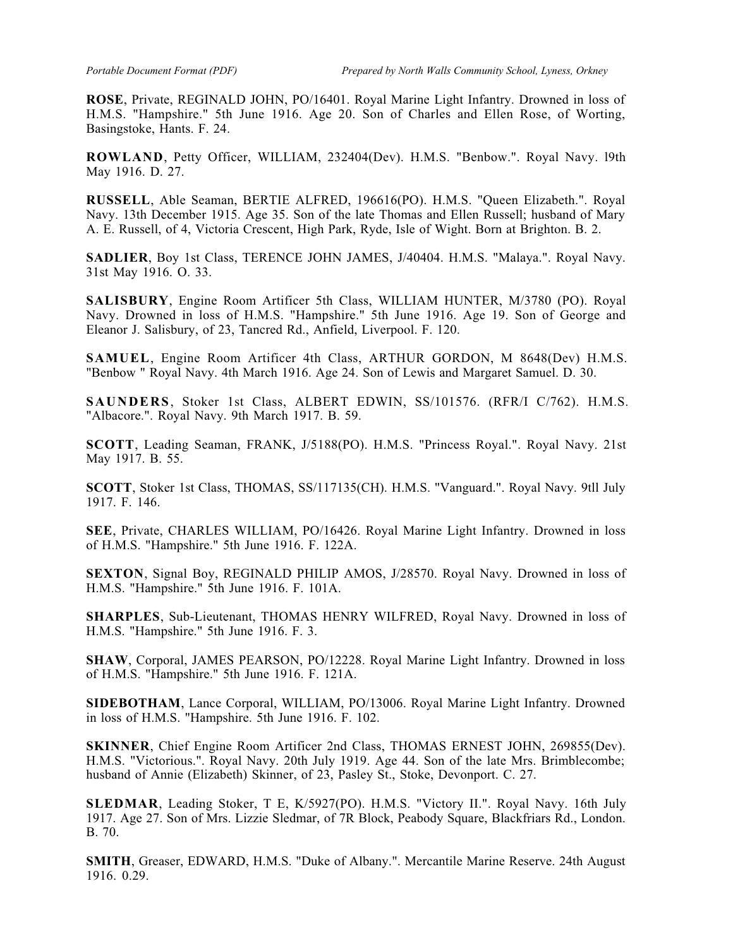**ROSE**, Private, REGINALD JOHN, PO/16401. Royal Marine Light Infantry. Drowned in loss of H.M.S. "Hampshire." 5th June 1916. Age 20. Son of Charles and Ellen Rose, of Worting, Basingstoke, Hants. F. 24.

**ROWLAND**, Petty Officer, WILLIAM, 232404(Dev). H.M.S. "Benbow.". Royal Navy. l9th May 1916. D. 27.

**RUSSELL**, Able Seaman, BERTIE ALFRED, 196616(PO). H.M.S. "Queen Elizabeth.". Royal Navy. 13th December 1915. Age 35. Son of the late Thomas and Ellen Russell; husband of Mary A. E. Russell, of 4, Victoria Crescent, High Park, Ryde, Isle of Wight. Born at Brighton. B. 2.

**SADLIER**, Boy 1st Class, TERENCE JOHN JAMES, J/40404. H.M.S. "Malaya.". Royal Navy. 31st May 1916. O. 33.

**SALISBURY**, Engine Room Artificer 5th Class, WILLIAM HUNTER, M/3780 (PO). Royal Navy. Drowned in loss of H.M.S. "Hampshire." 5th June 1916. Age 19. Son of George and Eleanor J. Salisbury, of 23, Tancred Rd., Anfield, Liverpool. F. 120.

**SAMUEL**, Engine Room Artificer 4th Class, ARTHUR GORDON, M 8648(Dev) H.M.S. "Benbow " Royal Navy. 4th March 1916. Age 24. Son of Lewis and Margaret Samuel. D. 30.

**SAUNDERS**, Stoker 1st Class, ALBERT EDWIN, SS/101576. (RFR/I C/762). H.M.S. "Albacore.". Royal Navy. 9th March 1917. B. 59.

**SCOTT**, Leading Seaman, FRANK, J/5188(PO). H.M.S. "Princess Royal.". Royal Navy. 21st May 1917. B. 55.

**SCOTT**, Stoker 1st Class, THOMAS, SS/117135(CH). H.M.S. "Vanguard.". Royal Navy. 9tll July 1917. F. 146.

**SEE**, Private, CHARLES WILLIAM, PO/16426. Royal Marine Light Infantry. Drowned in loss of H.M.S. "Hampshire." 5th June 1916. F. 122A.

**SEXTON**, Signal Boy, REGINALD PHILIP AMOS, J/28570. Royal Navy. Drowned in loss of H.M.S. "Hampshire." 5th June 1916. F. 101A.

**SHARPLES**, Sub-Lieutenant, THOMAS HENRY WILFRED, Royal Navy. Drowned in loss of H.M.S. "Hampshire." 5th June 1916. F. 3.

**SHAW**, Corporal, JAMES PEARSON, PO/12228. Royal Marine Light Infantry. Drowned in loss of H.M.S. "Hampshire." 5th June 1916. F. 121A.

**SIDEBOTHAM**, Lance Corporal, WILLIAM, PO/13006. Royal Marine Light Infantry. Drowned in loss of H.M.S. "Hampshire. 5th June 1916. F. 102.

**SKINNER**, Chief Engine Room Artificer 2nd Class, THOMAS ERNEST JOHN, 269855(Dev). H.M.S. "Victorious.". Royal Navy. 20th July 1919. Age 44. Son of the late Mrs. Brimblecombe; husband of Annie (Elizabeth) Skinner, of 23, Pasley St., Stoke, Devonport. C. 27.

**SLEDMAR**, Leading Stoker, T E, K/5927(PO). H.M.S. "Victory II.". Royal Navy. 16th July 1917. Age 27. Son of Mrs. Lizzie Sledmar, of 7R Block, Peabody Square, Blackfriars Rd., London. B. 70.

**SMITH**, Greaser, EDWARD, H.M.S. "Duke of Albany.". Mercantile Marine Reserve. 24th August 1916. 0.29.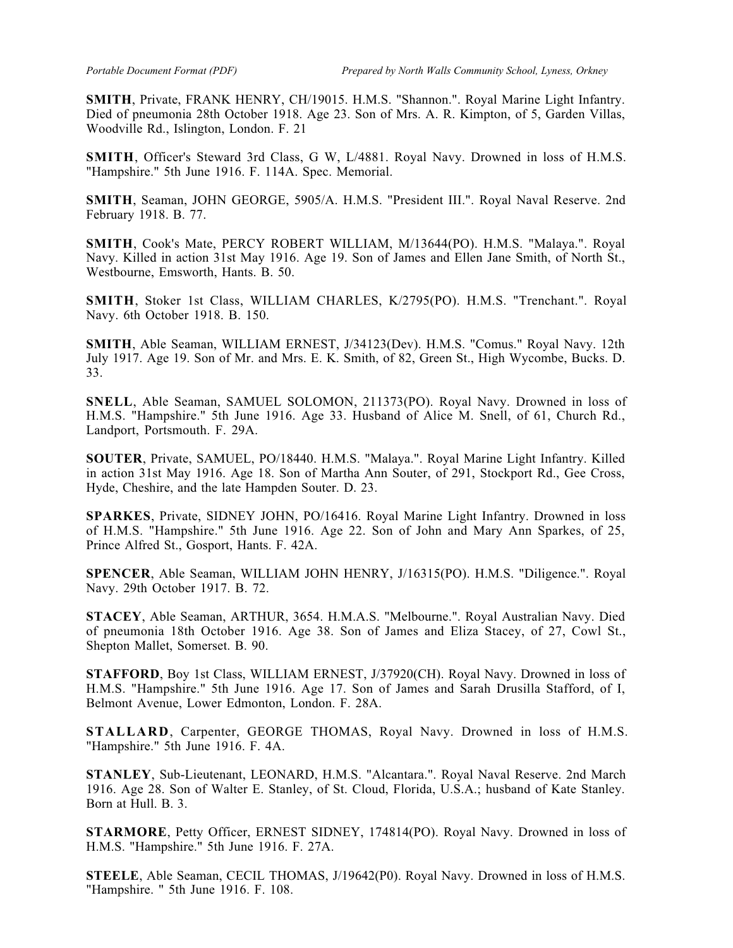**SMITH**, Private, FRANK HENRY, CH/19015. H.M.S. "Shannon.". Royal Marine Light Infantry. Died of pneumonia 28th October 1918. Age 23. Son of Mrs. A. R. Kimpton, of 5, Garden Villas, Woodville Rd., Islington, London. F. 21

**SMITH**, Officer's Steward 3rd Class, G W, L/4881. Royal Navy. Drowned in loss of H.M.S. "Hampshire." 5th June 1916. F. 114A. Spec. Memorial.

**SMITH**, Seaman, JOHN GEORGE, 5905/A. H.M.S. "President III.". Royal Naval Reserve. 2nd February 1918. B. 77.

**SMITH**, Cook's Mate, PERCY ROBERT WILLIAM, M/13644(PO). H.M.S. "Malaya.". Royal Navy. Killed in action 31st May 1916. Age 19. Son of James and Ellen Jane Smith, of North St., Westbourne, Emsworth, Hants. B. 50.

**SMITH**, Stoker 1st Class, WILLIAM CHARLES, K/2795(PO). H.M.S. "Trenchant.". Royal Navy. 6th October 1918. B. 150.

**SMITH**, Able Seaman, WILLIAM ERNEST, J/34123(Dev). H.M.S. "Comus." Royal Navy. 12th July 1917. Age 19. Son of Mr. and Mrs. E. K. Smith, of 82, Green St., High Wycombe, Bucks. D. 33.

**SNELL**, Able Seaman, SAMUEL SOLOMON, 211373(PO). Royal Navy. Drowned in loss of H.M.S. "Hampshire." 5th June 1916. Age 33. Husband of Alice M. Snell, of 61, Church Rd., Landport, Portsmouth. F. 29A.

**SOUTER**, Private, SAMUEL, PO/18440. H.M.S. "Malaya.". Royal Marine Light Infantry. Killed in action 31st May 1916. Age 18. Son of Martha Ann Souter, of 291, Stockport Rd., Gee Cross, Hyde, Cheshire, and the late Hampden Souter. D. 23.

**SPARKES**, Private, SIDNEY JOHN, PO/16416. Royal Marine Light Infantry. Drowned in loss of H.M.S. "Hampshire." 5th June 1916. Age 22. Son of John and Mary Ann Sparkes, of 25, Prince Alfred St., Gosport, Hants. F. 42A.

**SPENCER**, Able Seaman, WILLIAM JOHN HENRY, J/16315(PO). H.M.S. "Diligence.". Royal Navy. 29th October 1917. B. 72.

**STACEY**, Able Seaman, ARTHUR, 3654. H.M.A.S. "Melbourne.". Royal Australian Navy. Died of pneumonia 18th October 1916. Age 38. Son of James and Eliza Stacey, of 27, Cowl St., Shepton Mallet, Somerset. B. 90.

**STAFFORD**, Boy 1st Class, WILLIAM ERNEST, J/37920(CH). Royal Navy. Drowned in loss of H.M.S. "Hampshire." 5th June 1916. Age 17. Son of James and Sarah Drusilla Stafford, of I, Belmont Avenue, Lower Edmonton, London. F. 28A.

**STALLARD**, Carpenter, GEORGE THOMAS, Royal Navy. Drowned in loss of H.M.S. "Hampshire." 5th June 1916. F. 4A.

**STANLEY**, Sub-Lieutenant, LEONARD, H.M.S. "Alcantara.". Royal Naval Reserve. 2nd March 1916. Age 28. Son of Walter E. Stanley, of St. Cloud, Florida, U.S.A.; husband of Kate Stanley. Born at Hull. B. 3.

**STARMORE**, Petty Officer, ERNEST SIDNEY, 174814(PO). Royal Navy. Drowned in loss of H.M.S. "Hampshire." 5th June 1916. F. 27A.

**STEELE**, Able Seaman, CECIL THOMAS, J/19642(P0). Royal Navy. Drowned in loss of H.M.S. "Hampshire. " 5th June 1916. F. 108.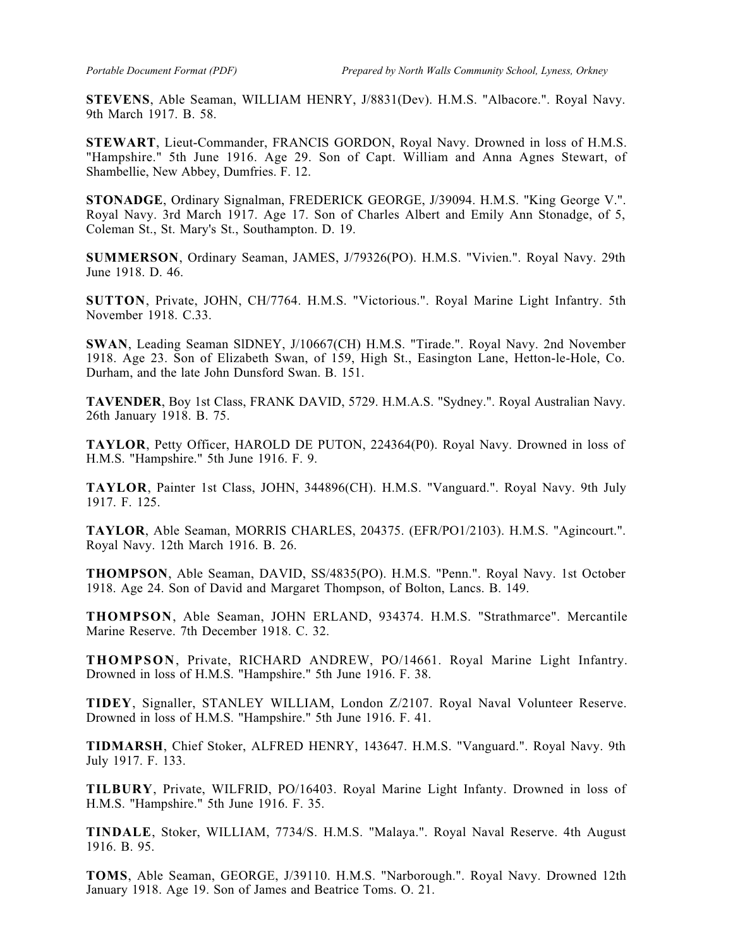**STEVENS**, Able Seaman, WILLIAM HENRY, J/8831(Dev). H.M.S. "Albacore.". Royal Navy. 9th March 1917. B. 58.

**STEWART**, Lieut-Commander, FRANCIS GORDON, Royal Navy. Drowned in loss of H.M.S. "Hampshire." 5th June 1916. Age 29. Son of Capt. William and Anna Agnes Stewart, of Shambellie, New Abbey, Dumfries. F. 12.

**STONADGE**, Ordinary Signalman, FREDERICK GEORGE, J/39094. H.M.S. "King George V.". Royal Navy. 3rd March 1917. Age 17. Son of Charles Albert and Emily Ann Stonadge, of 5, Coleman St., St. Mary's St., Southampton. D. 19.

**SUMMERSON**, Ordinary Seaman, JAMES, J/79326(PO). H.M.S. "Vivien.". Royal Navy. 29th June 1918. D. 46.

**SUTTON**, Private, JOHN, CH/7764. H.M.S. "Victorious.". Royal Marine Light Infantry. 5th November 1918. C.33.

**SWAN**, Leading Seaman SlDNEY, J/10667(CH) H.M.S. "Tirade.". Royal Navy. 2nd November 1918. Age 23. Son of Elizabeth Swan, of 159, High St., Easington Lane, Hetton-le-Hole, Co. Durham, and the late John Dunsford Swan. B. 151.

**TAVENDER**, Boy 1st Class, FRANK DAVID, 5729. H.M.A.S. "Sydney.". Royal Australian Navy. 26th January 1918. B. 75.

**TAYLOR**, Petty Officer, HAROLD DE PUTON, 224364(P0). Royal Navy. Drowned in loss of H.M.S. "Hampshire." 5th June 1916. F. 9.

**TAYLOR**, Painter 1st Class, JOHN, 344896(CH). H.M.S. "Vanguard.". Royal Navy. 9th July 1917. F. 125.

**TAYLOR**, Able Seaman, MORRIS CHARLES, 204375. (EFR/PO1/2103). H.M.S. "Agincourt.". Royal Navy. 12th March 1916. B. 26.

**THOMPSON**, Able Seaman, DAVID, SS/4835(PO). H.M.S. "Penn.". Royal Navy. 1st October 1918. Age 24. Son of David and Margaret Thompson, of Bolton, Lancs. B. 149.

**THOMPSON**, Able Seaman, JOHN ERLAND, 934374. H.M.S. "Strathmarce". Mercantile Marine Reserve. 7th December 1918. C. 32.

**THOMPSON**, Private, RICHARD ANDREW, PO/14661. Royal Marine Light Infantry. Drowned in loss of H.M.S. "Hampshire." 5th June 1916. F. 38.

**TIDEY**, Signaller, STANLEY WILLIAM, London Z/2107. Royal Naval Volunteer Reserve. Drowned in loss of H.M.S. "Hampshire." 5th June 1916. F. 41.

**TIDMARSH**, Chief Stoker, ALFRED HENRY, 143647. H.M.S. "Vanguard.". Royal Navy. 9th July 1917. F. 133.

**TILBURY**, Private, WILFRID, PO/16403. Royal Marine Light Infanty. Drowned in loss of H.M.S. "Hampshire." 5th June 1916. F. 35.

**TINDALE**, Stoker, WILLIAM, 7734/S. H.M.S. "Malaya.". Royal Naval Reserve. 4th August 1916. B. 95.

**TOMS**, Able Seaman, GEORGE, J/39110. H.M.S. "Narborough.". Royal Navy. Drowned 12th January 1918. Age 19. Son of James and Beatrice Toms. O. 21.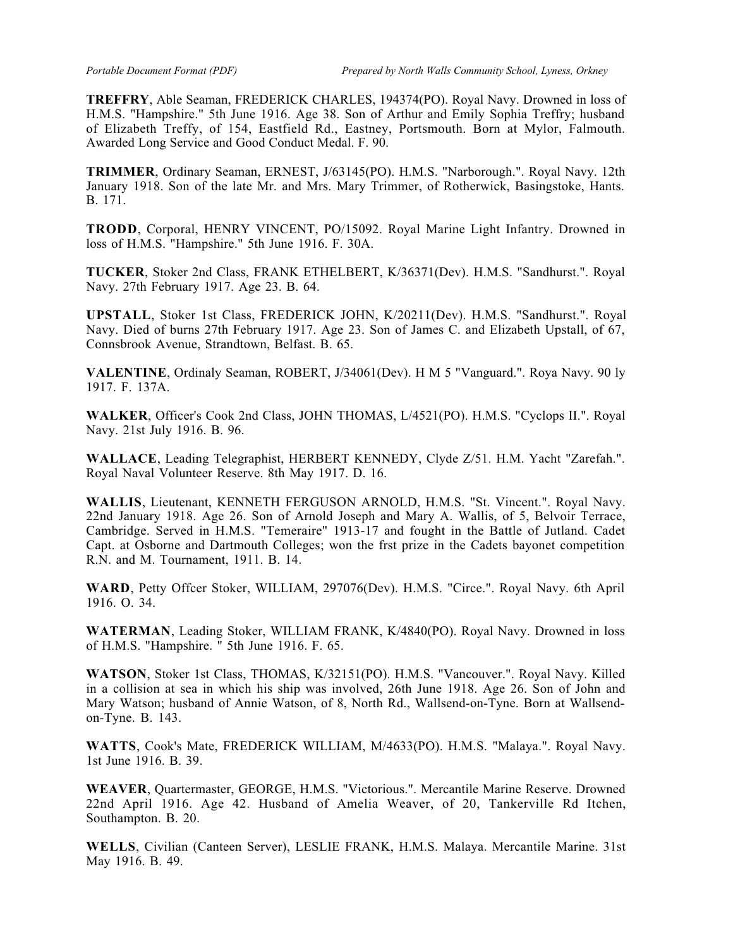**TREFFRY**, Able Seaman, FREDERICK CHARLES, 194374(PO). Royal Navy. Drowned in loss of H.M.S. "Hampshire." 5th June 1916. Age 38. Son of Arthur and Emily Sophia Treffry; husband of Elizabeth Treffy, of 154, Eastfield Rd., Eastney, Portsmouth. Born at Mylor, Falmouth. Awarded Long Service and Good Conduct Medal. F. 90.

**TRIMMER**, Ordinary Seaman, ERNEST, J/63145(PO). H.M.S. "Narborough.". Royal Navy. 12th January 1918. Son of the late Mr. and Mrs. Mary Trimmer, of Rotherwick, Basingstoke, Hants. B. 171.

**TRODD**, Corporal, HENRY VINCENT, PO/15092. Royal Marine Light Infantry. Drowned in loss of H.M.S. "Hampshire." 5th June 1916. F. 30A.

**TUCKER**, Stoker 2nd Class, FRANK ETHELBERT, K/36371(Dev). H.M.S. "Sandhurst.". Royal Navy. 27th February 1917. Age 23. B. 64.

**UPSTALL**, Stoker 1st Class, FREDERICK JOHN, K/20211(Dev). H.M.S. "Sandhurst.". Royal Navy. Died of burns 27th February 1917. Age 23. Son of James C. and Elizabeth Upstall, of 67, Connsbrook Avenue, Strandtown, Belfast. B. 65.

**VALENTINE**, Ordinaly Seaman, ROBERT, J/34061(Dev). H M 5 "Vanguard.". Roya Navy. 90 ly 1917. F. 137A.

**WALKER**, Officer's Cook 2nd Class, JOHN THOMAS, L/4521(PO). H.M.S. "Cyclops II.". Royal Navy. 21st July 1916. B. 96.

**WALLACE**, Leading Telegraphist, HERBERT KENNEDY, Clyde Z/51. H.M. Yacht "Zarefah.". Royal Naval Volunteer Reserve. 8th May 1917. D. 16.

**WALLIS**, Lieutenant, KENNETH FERGUSON ARNOLD, H.M.S. "St. Vincent.". Royal Navy. 22nd January 1918. Age 26. Son of Arnold Joseph and Mary A. Wallis, of 5, Belvoir Terrace, Cambridge. Served in H.M.S. "Temeraire" 1913-17 and fought in the Battle of Jutland. Cadet Capt. at Osborne and Dartmouth Colleges; won the frst prize in the Cadets bayonet competition R.N. and M. Tournament, 1911. B. 14.

**WARD**, Petty Offcer Stoker, WILLIAM, 297076(Dev). H.M.S. "Circe.". Royal Navy. 6th April 1916. O. 34.

**WATERMAN**, Leading Stoker, WILLIAM FRANK, K/4840(PO). Royal Navy. Drowned in loss of H.M.S. "Hampshire. " 5th June 1916. F. 65.

**WATSON**, Stoker 1st Class, THOMAS, K/32151(PO). H.M.S. "Vancouver.". Royal Navy. Killed in a collision at sea in which his ship was involved, 26th June 1918. Age 26. Son of John and Mary Watson; husband of Annie Watson, of 8, North Rd., Wallsend-on-Tyne. Born at Wallsendon-Tyne. B. 143.

**WATTS**, Cook's Mate, FREDERICK WILLIAM, M/4633(PO). H.M.S. "Malaya.". Royal Navy. 1st June 1916. B. 39.

**WEAVER**, Quartermaster, GEORGE, H.M.S. "Victorious.". Mercantile Marine Reserve. Drowned 22nd April 1916. Age 42. Husband of Amelia Weaver, of 20, Tankerville Rd Itchen, Southampton. B. 20.

**WELLS**, Civilian (Canteen Server), LESLIE FRANK, H.M.S. Malaya. Mercantile Marine. 31st May 1916. B. 49.